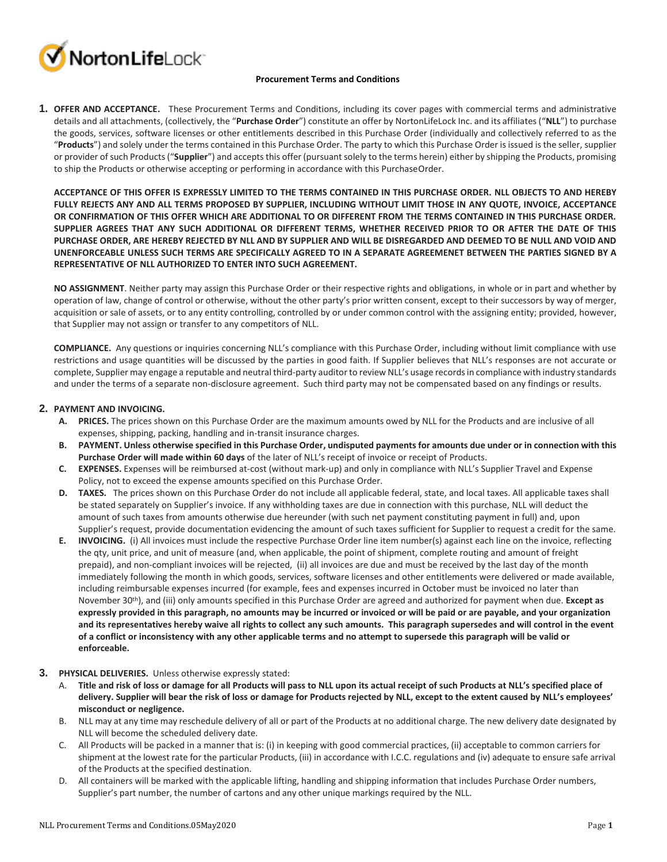

# **Procurement Terms and Conditions**

**1. OFFER AND ACCEPTANCE.** These Procurement Terms and Conditions, including its cover pages with commercial terms and administrative details and all attachments, (collectively, the "**Purchase Order**") constitute an offer by NortonLifeLock Inc. and its affiliates ("**NLL**") to purchase the goods, services, software licenses or other entitlements described in this Purchase Order (individually and collectively referred to as the "**Products**") and solely under the terms contained in this Purchase Order. The party to which this Purchase Order is issued is the seller, supplier or provider of such Products ("**Supplier**") and accepts this offer (pursuant solely to the terms herein) either by shipping the Products, promising to ship the Products or otherwise accepting or performing in accordance with this PurchaseOrder.

**ACCEPTANCE OF THIS OFFER IS EXPRESSLY LIMITED TO THE TERMS CONTAINED IN THIS PURCHASE ORDER. NLL OBJECTS TO AND HEREBY FULLY REJECTS ANY AND ALL TERMS PROPOSED BY SUPPLIER, INCLUDING WITHOUT LIMIT THOSE IN ANY QUOTE, INVOICE, ACCEPTANCE OR CONFIRMATION OF THIS OFFER WHICH ARE ADDITIONAL TO OR DIFFERENT FROM THE TERMS CONTAINED IN THIS PURCHASE ORDER. SUPPLIER AGREES THAT ANY SUCH ADDITIONAL OR DIFFERENT TERMS, WHETHER RECEIVED PRIOR TO OR AFTER THE DATE OF THIS PURCHASE ORDER, ARE HEREBY REJECTED BY NLL AND BY SUPPLIER AND WILL BE DISREGARDED AND DEEMED TO BE NULL AND VOID AND UNENFORCEABLE UNLESS SUCH TERMS ARE SPECIFICALLY AGREED TO IN A SEPARATE AGREEMENET BETWEEN THE PARTIES SIGNED BY A REPRESENTATIVE OF NLL AUTHORIZED TO ENTER INTO SUCH AGREEMENT.**

**NO ASSIGNMENT**. Neither party may assign this Purchase Order or their respective rights and obligations, in whole or in part and whether by operation of law, change of control or otherwise, without the other party's prior written consent, except to their successors by way of merger, acquisition or sale of assets, or to any entity controlling, controlled by or under common control with the assigning entity; provided, however, that Supplier may not assign or transfer to any competitors of NLL.

**COMPLIANCE.** Any questions or inquiries concerning NLL's compliance with this Purchase Order, including without limit compliance with use restrictions and usage quantities will be discussed by the parties in good faith. If Supplier believes that NLL's responses are not accurate or complete, Supplier may engage a reputable and neutral third-party auditor to review NLL's usage records in compliance with industry standards and under the terms of a separate non-disclosure agreement. Such third party may not be compensated based on any findings or results.

# **2. PAYMENT AND INVOICING.**

- **A. PRICES.** The prices shown on this Purchase Order are the maximum amounts owed by NLL for the Products and are inclusive of all expenses, shipping, packing, handling and in-transit insurance charges.
- **B. PAYMENT. Unless otherwise specified in this Purchase Order, undisputed payments for amounts due under or in connection with this Purchase Order will made within 60 days** of the later of NLL's receipt of invoice or receipt of Products.
- **C. EXPENSES.** Expenses will be reimbursed at-cost (without mark-up) and only in compliance with NLL's Supplier Travel and Expense Policy, not to exceed the expense amounts specified on this Purchase Order.
- **D. TAXES.** The prices shown on this Purchase Order do not include all applicable federal, state, and local taxes. All applicable taxes shall be stated separately on Supplier's invoice. If any withholding taxes are due in connection with this purchase, NLL will deduct the amount of such taxes from amounts otherwise due hereunder (with such net payment constituting payment in full) and, upon Supplier's request, provide documentation evidencing the amount of such taxes sufficient for Supplier to request a credit for the same.
- **E. INVOICING.** (i) All invoices must include the respective Purchase Order line item number(s) against each line on the invoice, reflecting the qty, unit price, and unit of measure (and, when applicable, the point of shipment, complete routing and amount of freight prepaid), and non-compliant invoices will be rejected, (ii) all invoices are due and must be received by the last day of the month immediately following the month in which goods, services, software licenses and other entitlements were delivered or made available, including reimbursable expenses incurred (for example, fees and expenses incurred in October must be invoiced no later than November 30th), and (iii) only amounts specified in this Purchase Order are agreed and authorized for payment when due. **Except as expressly provided in this paragraph, no amounts may be incurred or invoiced or will be paid or are payable, and your organization and its representatives hereby waive all rights to collect any such amounts. This paragraph supersedes and will control in the event of a conflict or inconsistency with any other applicable terms and no attempt to supersede this paragraph will be valid or enforceable.**
- **3. PHYSICAL DELIVERIES.** Unless otherwise expressly stated:
	- A. **Title and risk of loss or damage for all Products will pass to NLL upon its actual receipt of such Products at NLL's specified place of delivery. Supplier will bear the risk of loss or damage for Products rejected by NLL, except to the extent caused by NLL's employees' misconduct or negligence.**
	- B. NLL may at any time may reschedule delivery of all or part of the Products at no additional charge. The new delivery date designated by NLL will become the scheduled delivery date.
	- C. All Products will be packed in a manner that is: (i) in keeping with good commercial practices, (ii) acceptable to common carriers for shipment at the lowest rate for the particular Products, (iii) in accordance with I.C.C. regulations and (iv) adequate to ensure safe arrival of the Products at the specified destination.
	- D. All containers will be marked with the applicable lifting, handling and shipping information that includes Purchase Order numbers, Supplier's part number, the number of cartons and any other unique markings required by the NLL.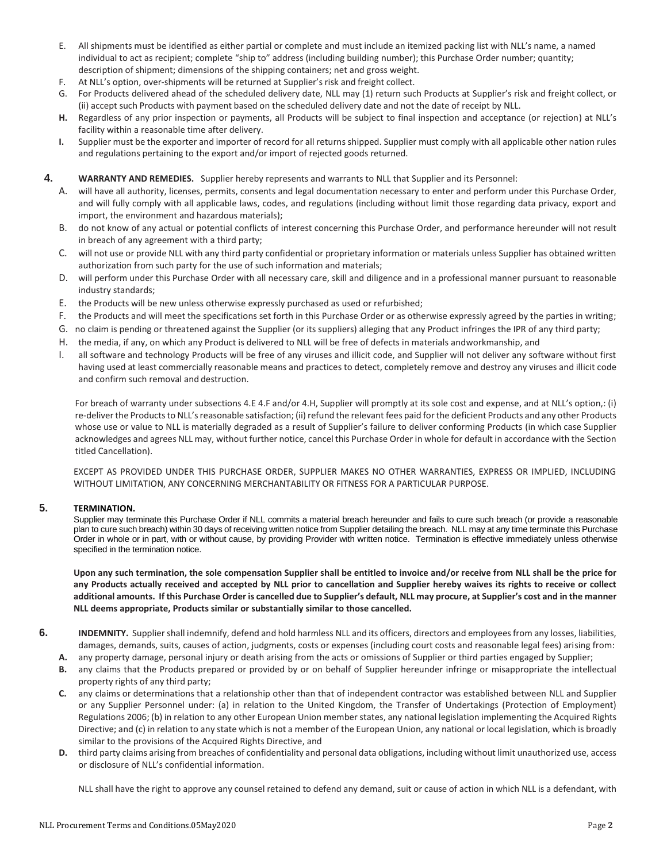- E. All shipments must be identified as either partial or complete and must include an itemized packing list with NLL's name, a named individual to act as recipient; complete "ship to" address (including building number); this Purchase Order number; quantity; description of shipment; dimensions of the shipping containers; net and gross weight.
- F. At NLL's option, over-shipments will be returned at Supplier's risk and freight collect.
- G. For Products delivered ahead of the scheduled delivery date, NLL may (1) return such Products at Supplier's risk and freight collect, or (ii) accept such Products with payment based on the scheduled delivery date and not the date of receipt by NLL.
- **H.** Regardless of any prior inspection or payments, all Products will be subject to final inspection and acceptance (or rejection) at NLL's facility within a reasonable time after delivery.
- **I.** Supplier must be the exporter and importer of record for all returns shipped. Supplier must comply with all applicable other nation rules and regulations pertaining to the export and/or import of rejected goods returned.

# **4. WARRANTY AND REMEDIES.** Supplier hereby represents and warrants to NLL that Supplier and its Personnel:

- A. will have all authority, licenses, permits, consents and legal documentation necessary to enter and perform under this Purchase Order, and will fully comply with all applicable laws, codes, and regulations (including without limit those regarding data privacy, export and import, the environment and hazardous materials);
- B. do not know of any actual or potential conflicts of interest concerning this Purchase Order, and performance hereunder will not result in breach of any agreement with a third party;
- C. will not use or provide NLL with any third party confidential or proprietary information or materials unless Supplier has obtained written authorization from such party for the use of such information and materials;
- D. will perform under this Purchase Order with all necessary care, skill and diligence and in a professional manner pursuant to reasonable industry standards;
- E. the Products will be new unless otherwise expressly purchased as used or refurbished;
- F. the Products and will meet the specifications set forth in this Purchase Order or as otherwise expressly agreed by the parties in writing;
- G. no claim is pending or threatened against the Supplier (or its suppliers) alleging that any Product infringes the IPR of any third party;
- H. the media, if any, on which any Product is delivered to NLL will be free of defects in materials andworkmanship, and
- I. all software and technology Products will be free of any viruses and illicit code, and Supplier will not deliver any software without first having used at least commercially reasonable means and practices to detect, completely remove and destroy any viruses and illicit code and confirm such removal and destruction.

For breach of warranty under subsections 4.E 4.F and/or 4.H, Supplier will promptly at its sole cost and expense, and at NLL's option,: (i) re-deliver the Products to NLL's reasonable satisfaction; (ii) refund the relevant fees paid for the deficient Products and any other Products whose use or value to NLL is materially degraded as a result of Supplier's failure to deliver conforming Products (in which case Supplier acknowledges and agrees NLL may, without further notice, cancel this Purchase Order in whole for default in accordance with the Section titled Cancellation).

EXCEPT AS PROVIDED UNDER THIS PURCHASE ORDER, SUPPLIER MAKES NO OTHER WARRANTIES, EXPRESS OR IMPLIED, INCLUDING WITHOUT LIMITATION, ANY CONCERNING MERCHANTABILITY OR FITNESS FOR A PARTICULAR PURPOSE.

# **5. TERMINATION.**

Supplier may terminate this Purchase Order if NLL commits a material breach hereunder and fails to cure such breach (or provide a reasonable plan to cure such breach) within 30 days of receiving written notice from Supplier detailing the breach. NLL may at any time terminate this Purchase Order in whole or in part, with or without cause, by providing Provider with written notice. Termination is effective immediately unless otherwise specified in the termination notice.

**Upon any such termination, the sole compensation Supplier shall be entitled to invoice and/or receive from NLL shall be the price for any Products actually received and accepted by NLL prior to cancellation and Supplier hereby waives its rights to receive or collect additional amounts. If this Purchase Order is cancelled due to Supplier's default, NLL may procure, at Supplier's cost and in the manner NLL deems appropriate, Products similar or substantially similar to those cancelled.**

- **6. INDEMNITY.** Supplier shall indemnify, defend and hold harmless NLL and its officers, directors and employees from any losses, liabilities, damages, demands, suits, causes of action, judgments, costs or expenses (including court costs and reasonable legal fees) arising from:
	- **A.** any property damage, personal injury or death arising from the acts or omissions of Supplier or third parties engaged by Supplier;
	- **B.** any claims that the Products prepared or provided by or on behalf of Supplier hereunder infringe or misappropriate the intellectual property rights of any third party;
	- **C.** any claims or determinations that a relationship other than that of independent contractor was established between NLL and Supplier or any Supplier Personnel under: (a) in relation to the United Kingdom, the Transfer of Undertakings (Protection of Employment) Regulations 2006; (b) in relation to any other European Union member states, any national legislation implementing the Acquired Rights Directive; and (c) in relation to any state which is not a member of the European Union, any national or local legislation, which is broadly similar to the provisions of the Acquired Rights Directive, and
	- **D.** third party claims arising from breaches of confidentiality and personal data obligations, including without limit unauthorized use, access or disclosure of NLL's confidential information.

NLL shall have the right to approve any counsel retained to defend any demand, suit or cause of action in which NLL is a defendant, with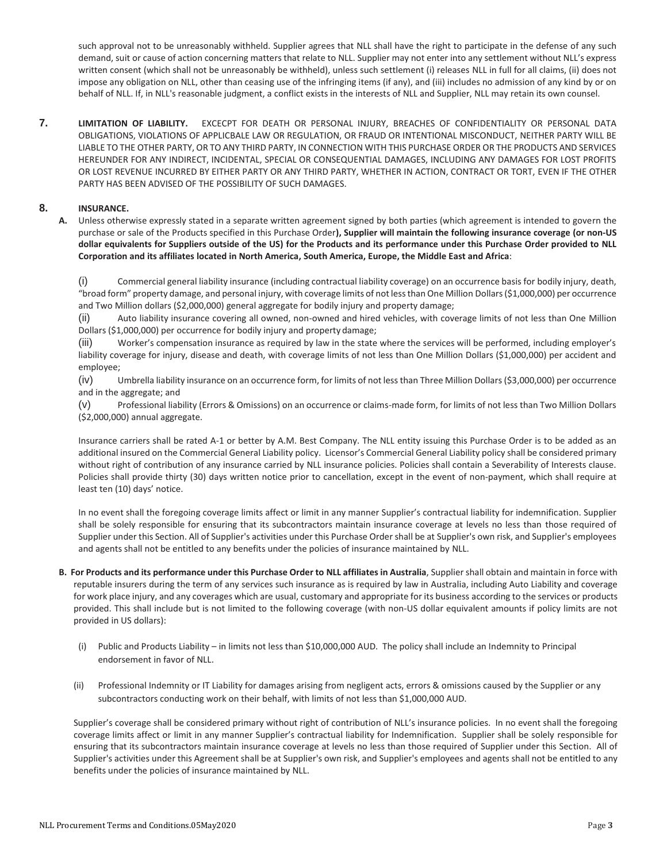such approval not to be unreasonably withheld. Supplier agrees that NLL shall have the right to participate in the defense of any such demand, suit or cause of action concerning matters that relate to NLL. Supplier may not enter into any settlement without NLL's express written consent (which shall not be unreasonably be withheld), unless such settlement (i) releases NLL in full for all claims, (ii) does not impose any obligation on NLL, other than ceasing use of the infringing items (if any), and (iii) includes no admission of any kind by or on behalf of NLL. If, in NLL's reasonable judgment, a conflict exists in the interests of NLL and Supplier, NLL may retain its own counsel.

**7. LIMITATION OF LIABILITY.** EXCECPT FOR DEATH OR PERSONAL INJURY, BREACHES OF CONFIDENTIALITY OR PERSONAL DATA OBLIGATIONS, VIOLATIONS OF APPLICBALE LAW OR REGULATION, OR FRAUD OR INTENTIONAL MISCONDUCT, NEITHER PARTY WILL BE LIABLE TO THE OTHER PARTY, OR TO ANY THIRD PARTY, IN CONNECTION WITH THIS PURCHASE ORDER OR THE PRODUCTS AND SERVICES HEREUNDER FOR ANY INDIRECT, INCIDENTAL, SPECIAL OR CONSEQUENTIAL DAMAGES, INCLUDING ANY DAMAGES FOR LOST PROFITS OR LOST REVENUE INCURRED BY EITHER PARTY OR ANY THIRD PARTY, WHETHER IN ACTION, CONTRACT OR TORT, EVEN IF THE OTHER PARTY HAS BEEN ADVISED OF THE POSSIBILITY OF SUCH DAMAGES.

# **8. INSURANCE.**

**A.** Unless otherwise expressly stated in a separate written agreement signed by both parties (which agreement is intended to govern the purchase or sale of the Products specified in this Purchase Order**), Supplier will maintain the following insurance coverage (or non-US dollar equivalents for Suppliers outside of the US) for the Products and its performance under this Purchase Order provided to NLL Corporation and its affiliates located in North America, South America, Europe, the Middle East and Africa**:

(i) Commercial general liability insurance (including contractual liability coverage) on an occurrence basis for bodily injury, death, "broad form" property damage, and personal injury, with coverage limits of not less than One Million Dollars (\$1,000,000) per occurrence and Two Million dollars (\$2,000,000) general aggregate for bodily injury and property damage;

(ii) Auto liability insurance covering all owned, non-owned and hired vehicles, with coverage limits of not less than One Million Dollars (\$1,000,000) per occurrence for bodily injury and property damage;

(iii) Worker's compensation insurance as required by law in the state where the services will be performed, including employer's liability coverage for injury, disease and death, with coverage limits of not less than One Million Dollars (\$1,000,000) per accident and employee;

(iv) Umbrella liability insurance on an occurrence form, for limits of not lessthan Three Million Dollars(\$3,000,000) per occurrence and in the aggregate; and

(v) Professional liability (Errors & Omissions) on an occurrence or claims-made form, for limits of not less than Two Million Dollars (\$2,000,000) annual aggregate.

Insurance carriers shall be rated A-1 or better by A.M. Best Company. The NLL entity issuing this Purchase Order is to be added as an additional insured on the Commercial General Liability policy. Licensor's Commercial General Liability policy shall be considered primary without right of contribution of any insurance carried by NLL insurance policies. Policies shall contain a Severability of Interests clause. Policies shall provide thirty (30) days written notice prior to cancellation, except in the event of non-payment, which shall require at least ten (10) days' notice.

In no event shall the foregoing coverage limits affect or limit in any manner Supplier's contractual liability for indemnification. Supplier shall be solely responsible for ensuring that its subcontractors maintain insurance coverage at levels no less than those required of Supplier under this Section. All of Supplier's activities under this Purchase Order shall be at Supplier's own risk, and Supplier's employees and agents shall not be entitled to any benefits under the policies of insurance maintained by NLL.

- **B. For Products and its performance under this Purchase Order to NLL affiliates in Australia**, Supplier shall obtain and maintain in force with reputable insurers during the term of any services such insurance as is required by law in Australia, including Auto Liability and coverage for work place injury, and any coverages which are usual, customary and appropriate for its business according to the services or products provided. This shall include but is not limited to the following coverage (with non-US dollar equivalent amounts if policy limits are not provided in US dollars):
	- (i) Public and Products Liability in limits not less than \$10,000,000 AUD. The policy shall include an Indemnity to Principal endorsement in favor of NLL.
	- (ii) Professional Indemnity or IT Liability for damages arising from negligent acts, errors & omissions caused by the Supplier or any subcontractors conducting work on their behalf, with limits of not less than \$1,000,000 AUD.

Supplier's coverage shall be considered primary without right of contribution of NLL's insurance policies. In no event shall the foregoing coverage limits affect or limit in any manner Supplier's contractual liability for Indemnification. Supplier shall be solely responsible for ensuring that its subcontractors maintain insurance coverage at levels no less than those required of Supplier under this Section. All of Supplier's activities under this Agreement shall be at Supplier's own risk, and Supplier's employees and agents shall not be entitled to any benefits under the policies of insurance maintained by NLL.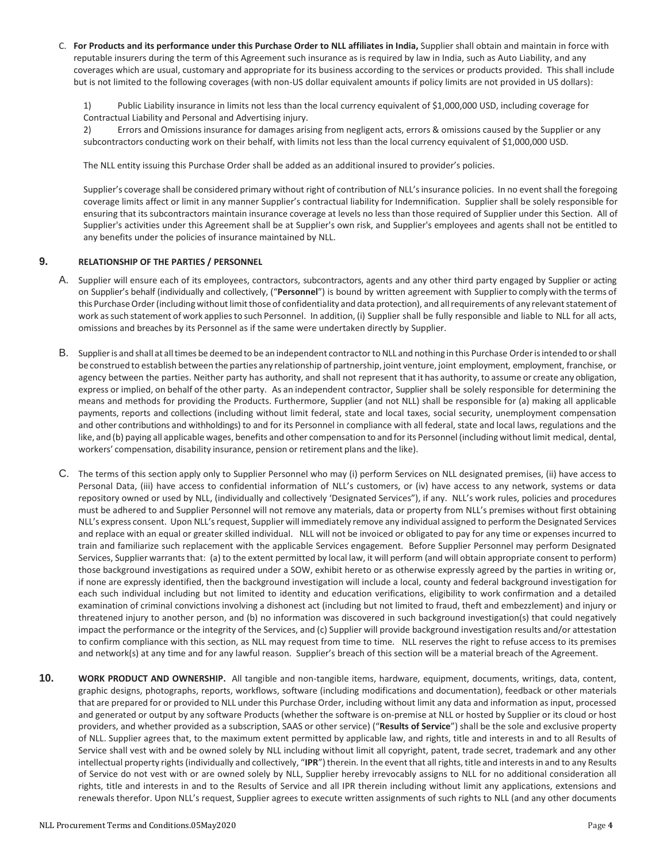C. **For Products and its performance under this Purchase Order to NLL affiliates in India,** Supplier shall obtain and maintain in force with reputable insurers during the term of this Agreement such insurance as is required by law in India, such as Auto Liability, and any coverages which are usual, customary and appropriate for its business according to the services or products provided. This shall include but is not limited to the following coverages (with non-US dollar equivalent amounts if policy limits are not provided in US dollars):

1) Public Liability insurance in limits not less than the local currency equivalent of \$1,000,000 USD, including coverage for Contractual Liability and Personal and Advertising injury.

2) Errors and Omissions insurance for damages arising from negligent acts, errors & omissions caused by the Supplier or any subcontractors conducting work on their behalf, with limits not less than the local currency equivalent of \$1,000,000 USD.

The NLL entity issuing this Purchase Order shall be added as an additional insured to provider's policies.

Supplier's coverage shall be considered primary without right of contribution of NLL's insurance policies. In no event shall the foregoing coverage limits affect or limit in any manner Supplier's contractual liability for Indemnification. Supplier shall be solely responsible for ensuring that its subcontractors maintain insurance coverage at levels no less than those required of Supplier under this Section. All of Supplier's activities under this Agreement shall be at Supplier's own risk, and Supplier's employees and agents shall not be entitled to any benefits under the policies of insurance maintained by NLL.

# **9. RELATIONSHIP OF THE PARTIES / PERSONNEL**

- A. Supplier will ensure each of its employees, contractors, subcontractors, agents and any other third party engaged by Supplier or acting on Supplier's behalf (individually and collectively, ("**Personnel**") is bound by written agreement with Supplierto comply with the terms of this Purchase Order (including without limit those of confidentiality and data protection), and all requirements of any relevant statement of work assuch statement of work appliesto such Personnel. In addition, (i) Supplier shall be fully responsible and liable to NLL for all acts, omissions and breaches by its Personnel as if the same were undertaken directly by Supplier.
- B. Supplier is and shall at all times be deemed to be an independent contractor to NLL and nothing in this Purchase Order is intended to or shall be construed to establish between the parties any relationship of partnership, joint venture, joint employment, employment, franchise, or agency between the parties. Neither party has authority, and shall not represent that it has authority, to assume or create any obligation, express or implied, on behalf of the other party. As an independent contractor, Supplier shall be solely responsible for determining the means and methods for providing the Products. Furthermore, Supplier (and not NLL) shall be responsible for (a) making all applicable payments, reports and collections (including without limit federal, state and local taxes, social security, unemployment compensation and other contributions and withholdings) to and for its Personnel in compliance with all federal, state and local laws, regulations and the like, and (b) paying all applicable wages, benefits and other compensation to and for its Personnel (including without limit medical, dental, workers' compensation, disability insurance, pension or retirement plans and the like).
- C. The terms of this section apply only to Supplier Personnel who may (i) perform Services on NLL designated premises, (ii) have access to Personal Data, (iii) have access to confidential information of NLL's customers, or (iv) have access to any network, systems or data repository owned or used by NLL, (individually and collectively 'Designated Services"), if any. NLL's work rules, policies and procedures must be adhered to and Supplier Personnel will not remove any materials, data or property from NLL's premises without first obtaining NLL's express consent. Upon NLL's request, Supplier will immediately remove any individual assigned to perform the Designated Services and replace with an equal or greater skilled individual. NLL will not be invoiced or obligated to pay for any time or expenses incurred to train and familiarize such replacement with the applicable Services engagement. Before Supplier Personnel may perform Designated Services, Supplier warrants that: (a) to the extent permitted by local law, it will perform (and will obtain appropriate consent to perform) those background investigations as required under a SOW, exhibit hereto or as otherwise expressly agreed by the parties in writing or, if none are expressly identified, then the background investigation will include a local, county and federal background investigation for each such individual including but not limited to identity and education verifications, eligibility to work confirmation and a detailed examination of criminal convictions involving a dishonest act (including but not limited to fraud, theft and embezzlement) and injury or threatened injury to another person, and (b) no information was discovered in such background investigation(s) that could negatively impact the performance or the integrity of the Services, and (c) Supplier will provide background investigation results and/or attestation to confirm compliance with this section, as NLL may request from time to time. NLL reserves the right to refuse access to its premises and network(s) at any time and for any lawful reason. Supplier's breach of this section will be a material breach of the Agreement.
- **10. WORK PRODUCT AND OWNERSHIP.** All tangible and non-tangible items, hardware, equipment, documents, writings, data, content, graphic designs, photographs, reports, workflows, software (including modifications and documentation), feedback or other materials that are prepared for or provided to NLL under this Purchase Order, including without limit any data and information as input, processed and generated or output by any software Products (whether the software is on-premise at NLL or hosted by Supplier or its cloud or host providers, and whether provided as a subscription, SAAS or other service) ("**Results of Service**") shall be the sole and exclusive property of NLL. Supplier agrees that, to the maximum extent permitted by applicable law, and rights, title and interests in and to all Results of Service shall vest with and be owned solely by NLL including without limit all copyright, patent, trade secret, trademark and any other intellectual property rights (individually and collectively, "**IPR**") therein. In the event that all rights, title and interests in and to any Results of Service do not vest with or are owned solely by NLL, Supplier hereby irrevocably assigns to NLL for no additional consideration all rights, title and interests in and to the Results of Service and all IPR therein including without limit any applications, extensions and renewals therefor. Upon NLL's request, Supplier agrees to execute written assignments of such rights to NLL (and any other documents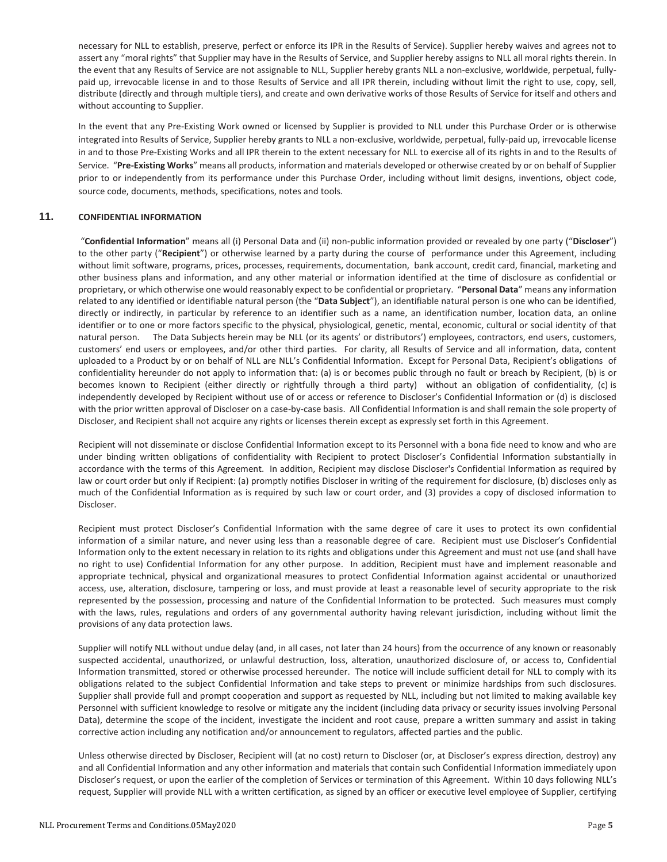necessary for NLL to establish, preserve, perfect or enforce its IPR in the Results of Service). Supplier hereby waives and agrees not to assert any "moral rights" that Supplier may have in the Results of Service, and Supplier hereby assigns to NLL all moral rights therein. In the event that any Results of Service are not assignable to NLL, Supplier hereby grants NLL a non-exclusive, worldwide, perpetual, fullypaid up, irrevocable license in and to those Results of Service and all IPR therein, including without limit the right to use, copy, sell, distribute (directly and through multiple tiers), and create and own derivative works of those Results of Service for itself and others and without accounting to Supplier.

In the event that any Pre-Existing Work owned or licensed by Supplier is provided to NLL under this Purchase Order or is otherwise integrated into Results of Service, Supplier hereby grants to NLL a non-exclusive, worldwide, perpetual, fully-paid up, irrevocable license in and to those Pre-Existing Works and all IPR therein to the extent necessary for NLL to exercise all of its rights in and to the Results of Service. "**Pre-Existing Works**" means all products, information and materials developed or otherwise created by or on behalf of Supplier prior to or independently from its performance under this Purchase Order, including without limit designs, inventions, object code, source code, documents, methods, specifications, notes and tools.

# **11. CONFIDENTIAL INFORMATION**

"**Confidential Information**" means all (i) Personal Data and (ii) non-public information provided or revealed by one party ("**Discloser**") to the other party ("**Recipient**") or otherwise learned by a party during the course of performance under this Agreement, including without limit software, programs, prices, processes, requirements, documentation, bank account, credit card, financial, marketing and other business plans and information, and any other material or information identified at the time of disclosure as confidential or proprietary, or which otherwise one would reasonably expect to be confidential or proprietary. "**Personal Data**" means any information related to any identified or identifiable natural person (the "**Data Subject**"), an identifiable natural person is one who can be identified, directly or indirectly, in particular by reference to an identifier such as a name, an identification number, location data, an online identifier or to one or more factors specific to the physical, physiological, genetic, mental, economic, cultural or social identity of that natural person. The Data Subjects herein may be NLL (or its agents' or distributors') employees, contractors, end users, customers, customers' end users or employees, and/or other third parties. For clarity, all Results of Service and all information, data, content uploaded to a Product by or on behalf of NLL are NLL's Confidential Information. Except for Personal Data, Recipient's obligations of confidentiality hereunder do not apply to information that: (a) is or becomes public through no fault or breach by Recipient, (b) is or becomes known to Recipient (either directly or rightfully through a third party) without an obligation of confidentiality, (c) is independently developed by Recipient without use of or access or reference to Discloser's Confidential Information or (d) is disclosed with the prior written approval of Discloser on a case-by-case basis. All Confidential Information is and shall remain the sole property of Discloser, and Recipient shall not acquire any rights or licenses therein except as expressly set forth in this Agreement.

Recipient will not disseminate or disclose Confidential Information except to its Personnel with a bona fide need to know and who are under binding written obligations of confidentiality with Recipient to protect Discloser's Confidential Information substantially in accordance with the terms of this Agreement. In addition, Recipient may disclose Discloser's Confidential Information as required by law or court order but only if Recipient: (a) promptly notifies Discloser in writing of the requirement for disclosure, (b) discloses only as much of the Confidential Information as is required by such law or court order, and (3) provides a copy of disclosed information to Discloser.

Recipient must protect Discloser's Confidential Information with the same degree of care it uses to protect its own confidential information of a similar nature, and never using less than a reasonable degree of care. Recipient must use Discloser's Confidential Information only to the extent necessary in relation to its rights and obligations under this Agreement and must not use (and shall have no right to use) Confidential Information for any other purpose. In addition, Recipient must have and implement reasonable and appropriate technical, physical and organizational measures to protect Confidential Information against accidental or unauthorized access, use, alteration, disclosure, tampering or loss, and must provide at least a reasonable level of security appropriate to the risk represented by the possession, processing and nature of the Confidential Information to be protected. Such measures must comply with the laws, rules, regulations and orders of any governmental authority having relevant jurisdiction, including without limit the provisions of any data protection laws.

Supplier will notify NLL without undue delay (and, in all cases, not later than 24 hours) from the occurrence of any known or reasonably suspected accidental, unauthorized, or unlawful destruction, loss, alteration, unauthorized disclosure of, or access to, Confidential Information transmitted, stored or otherwise processed hereunder. The notice will include sufficient detail for NLL to comply with its obligations related to the subject Confidential Information and take steps to prevent or minimize hardships from such disclosures. Supplier shall provide full and prompt cooperation and support as requested by NLL, including but not limited to making available key Personnel with sufficient knowledge to resolve or mitigate any the incident (including data privacy or security issues involving Personal Data), determine the scope of the incident, investigate the incident and root cause, prepare a written summary and assist in taking corrective action including any notification and/or announcement to regulators, affected parties and the public.

Unless otherwise directed by Discloser, Recipient will (at no cost) return to Discloser (or, at Discloser's express direction, destroy) any and all Confidential Information and any other information and materials that contain such Confidential Information immediately upon Discloser's request, or upon the earlier of the completion of Services or termination of this Agreement. Within 10 days following NLL's request, Supplier will provide NLL with a written certification, as signed by an officer or executive level employee of Supplier, certifying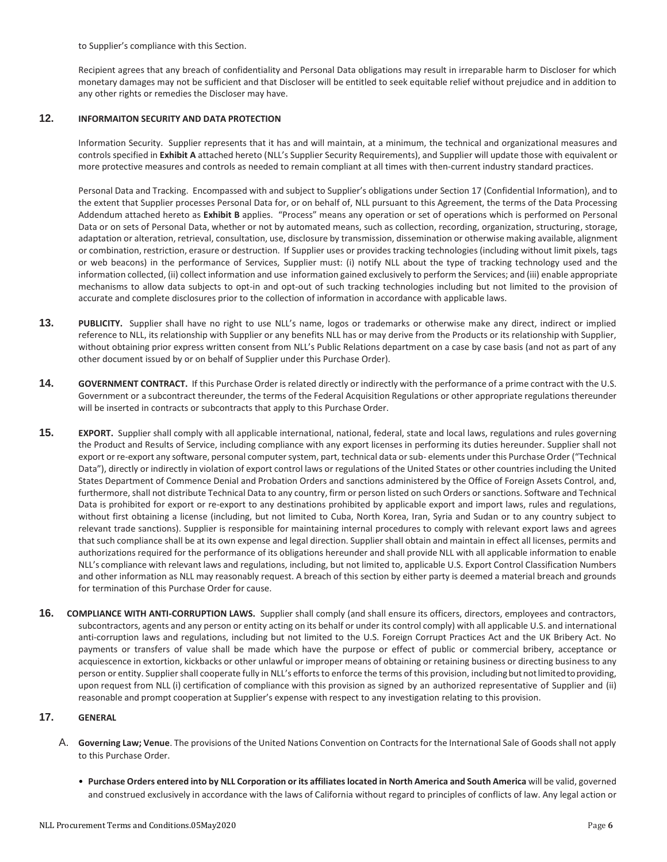to Supplier's compliance with this Section.

Recipient agrees that any breach of confidentiality and Personal Data obligations may result in irreparable harm to Discloser for which monetary damages may not be sufficient and that Discloser will be entitled to seek equitable relief without prejudice and in addition to any other rights or remedies the Discloser may have.

# **12. INFORMAITON SECURITY AND DATA PROTECTION**

Information Security. Supplier represents that it has and will maintain, at a minimum, the technical and organizational measures and controls specified in **Exhibit A** attached hereto (NLL's Supplier Security Requirements), and Supplier will update those with equivalent or more protective measures and controls as needed to remain compliant at all times with then-current industry standard practices.

Personal Data and Tracking. Encompassed with and subject to Supplier's obligations under Section 17 (Confidential Information), and to the extent that Supplier processes Personal Data for, or on behalf of, NLL pursuant to this Agreement, the terms of the Data Processing Addendum attached hereto as **Exhibit B** applies. "Process" means any operation or set of operations which is performed on Personal Data or on sets of Personal Data, whether or not by automated means, such as collection, recording, organization, structuring, storage, adaptation or alteration, retrieval, consultation, use, disclosure by transmission, dissemination or otherwise making available, alignment or combination, restriction, erasure or destruction. If Supplier uses or provides tracking technologies (including without limit pixels, tags or web beacons) in the performance of Services, Supplier must: (i) notify NLL about the type of tracking technology used and the information collected, (ii) collect information and use information gained exclusively to perform the Services; and (iii) enable appropriate mechanisms to allow data subjects to opt-in and opt-out of such tracking technologies including but not limited to the provision of accurate and complete disclosures prior to the collection of information in accordance with applicable laws.

- **13. PUBLICITY.** Supplier shall have no right to use NLL's name, logos or trademarks or otherwise make any direct, indirect or implied reference to NLL, its relationship with Supplier or any benefits NLL has or may derive from the Products or its relationship with Supplier, without obtaining prior express written consent from NLL's Public Relations department on a case by case basis (and not as part of any other document issued by or on behalf of Supplier under this Purchase Order).
- **14.** GOVERNMENT CONTRACT. If this Purchase Order is related directly or indirectly with the performance of a prime contract with the U.S. Government or a subcontract thereunder, the terms of the Federal Acquisition Regulations or other appropriate regulations thereunder will be inserted in contracts or subcontracts that apply to this Purchase Order.
- **15. EXPORT.** Supplier shall comply with all applicable international, national, federal, state and local laws, regulations and rules governing the Product and Results of Service, including compliance with any export licenses in performing its duties hereunder. Supplier shall not export or re-export any software, personal computer system, part, technical data or sub- elements under this Purchase Order ("Technical Data"), directly or indirectly in violation of export control laws or regulations of the United States or other countries including the United States Department of Commence Denial and Probation Orders and sanctions administered by the Office of Foreign Assets Control, and, furthermore, shall not distribute Technical Data to any country, firm or person listed on such Orders or sanctions. Software and Technical Data is prohibited for export or re-export to any destinations prohibited by applicable export and import laws, rules and regulations, without first obtaining a license (including, but not limited to Cuba, North Korea, Iran, Syria and Sudan or to any country subject to relevant trade sanctions). Supplier is responsible for maintaining internal procedures to comply with relevant export laws and agrees that such compliance shall be at its own expense and legal direction. Supplier shall obtain and maintain in effect all licenses, permits and authorizations required for the performance of its obligations hereunder and shall provide NLL with all applicable information to enable NLL's compliance with relevant laws and regulations, including, but not limited to, applicable U.S. Export Control Classification Numbers and other information as NLL may reasonably request. A breach of this section by either party is deemed a material breach and grounds for termination of this Purchase Order for cause.
- **16. COMPLIANCE WITH ANTI-CORRUPTION LAWS.** Supplier shall comply (and shall ensure its officers, directors, employees and contractors, subcontractors, agents and any person or entity acting on its behalf or under its control comply) with all applicable U.S. and international anti-corruption laws and regulations, including but not limited to the U.S. Foreign Corrupt Practices Act and the UK Bribery Act. No payments or transfers of value shall be made which have the purpose or effect of public or commercial bribery, acceptance or acquiescence in extortion, kickbacks or other unlawful or improper means of obtaining or retaining business or directing business to any person or entity. Supplier shall cooperate fully in NLL's efforts to enforce the terms of this provision, including but not limited to providing, upon request from NLL (i) certification of compliance with this provision as signed by an authorized representative of Supplier and (ii) reasonable and prompt cooperation at Supplier's expense with respect to any investigation relating to this provision.

# **17. GENERAL**

- A. **Governing Law; Venue**. The provisions of the United Nations Convention on Contracts for the International Sale of Goods shall not apply to this Purchase Order.
	- **Purchase Orders entered into by NLL Corporation or its affiliates located in North America and South America** will be valid, governed and construed exclusively in accordance with the laws of California without regard to principles of conflicts of law. Any legal action or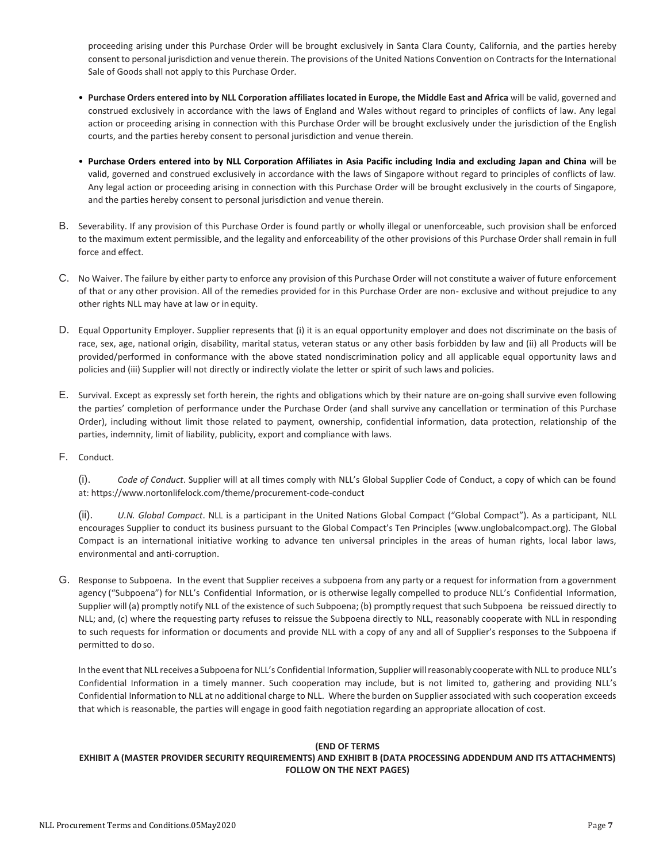proceeding arising under this Purchase Order will be brought exclusively in Santa Clara County, California, and the parties hereby consent to personal jurisdiction and venue therein. The provisions of the United Nations Convention on Contracts for the International Sale of Goods shall not apply to this Purchase Order.

- **Purchase Orders entered into by NLL Corporation affiliates located in Europe, the Middle East and Africa** will be valid, governed and construed exclusively in accordance with the laws of England and Wales without regard to principles of conflicts of law. Any legal action or proceeding arising in connection with this Purchase Order will be brought exclusively under the jurisdiction of the English courts, and the parties hereby consent to personal jurisdiction and venue therein.
- **Purchase Orders entered into by NLL Corporation Affiliates in Asia Pacific including India and excluding Japan and China** will be valid, governed and construed exclusively in accordance with the laws of Singapore without regard to principles of conflicts of law. Any legal action or proceeding arising in connection with this Purchase Order will be brought exclusively in the courts of Singapore, and the parties hereby consent to personal jurisdiction and venue therein.
- B. Severability. If any provision of this Purchase Order is found partly or wholly illegal or unenforceable, such provision shall be enforced to the maximum extent permissible, and the legality and enforceability of the other provisions of this Purchase Order shall remain in full force and effect.
- C. No Waiver. The failure by either party to enforce any provision of this Purchase Order will not constitute a waiver of future enforcement of that or any other provision. All of the remedies provided for in this Purchase Order are non- exclusive and without prejudice to any other rights NLL may have at law or in equity.
- D. Equal Opportunity Employer. Supplier represents that (i) it is an equal opportunity employer and does not discriminate on the basis of race, sex, age, national origin, disability, marital status, veteran status or any other basis forbidden by law and (ii) all Products will be provided/performed in conformance with the above stated nondiscrimination policy and all applicable equal opportunity laws and policies and (iii) Supplier will not directly or indirectly violate the letter or spirit of such laws and policies.
- E. Survival. Except as expressly set forth herein, the rights and obligations which by their nature are on-going shall survive even following the parties' completion of performance under the Purchase Order (and shall survive any cancellation or termination of this Purchase Order), including without limit those related to payment, ownership, confidential information, data protection, relationship of the parties, indemnity, limit of liability, publicity, export and compliance with laws.
- F. Conduct.

(i). *Code of Conduct*. Supplier will at all times comply with NLL's Global Supplier Code of Conduct, a copy of which can be found at: <https://www.nortonlifelock.com/theme/procurement-code-conduct>

(ii). *U.N. Global Compact*. NLL is a participant in the United Nations Global Compact ("Global Compact"). As a participant, NLL encourages Supplier to conduct its business pursuant to the Global Compact's Ten Principles [\(www.unglobalcompact.org\)](http://www.unglobalcompact.org/). The Global Compact is an international initiative working to advance ten universal principles in the areas of human rights, local labor laws, environmental and anti-corruption.

G. Response to Subpoena. In the event that Supplier receives a subpoena from any party or a request for information from a government agency ("Subpoena") for NLL's Confidential Information, or is otherwise legally compelled to produce NLL's Confidential Information, Supplier will (a) promptly notify NLL of the existence of such Subpoena; (b) promptly request that such Subpoena be reissued directly to NLL; and, (c) where the requesting party refuses to reissue the Subpoena directly to NLL, reasonably cooperate with NLL in responding to such requests for information or documents and provide NLL with a copy of any and all of Supplier's responses to the Subpoena if permitted to do so.

In the event that NLL receives a Subpoena for NLL's Confidential Information, Supplier will reasonably cooperate with NLL to produce NLL's Confidential Information in a timely manner. Such cooperation may include, but is not limited to, gathering and providing NLL's Confidential Information to NLL at no additional charge to NLL. Where the burden on Supplier associated with such cooperation exceeds that which is reasonable, the parties will engage in good faith negotiation regarding an appropriate allocation of cost.

# **(END OF TERMS**

# **EXHIBIT A (MASTER PROVIDER SECURITY REQUIREMENTS) AND EXHIBIT B (DATA PROCESSING ADDENDUM AND ITS ATTACHMENTS) FOLLOW ON THE NEXT PAGES)**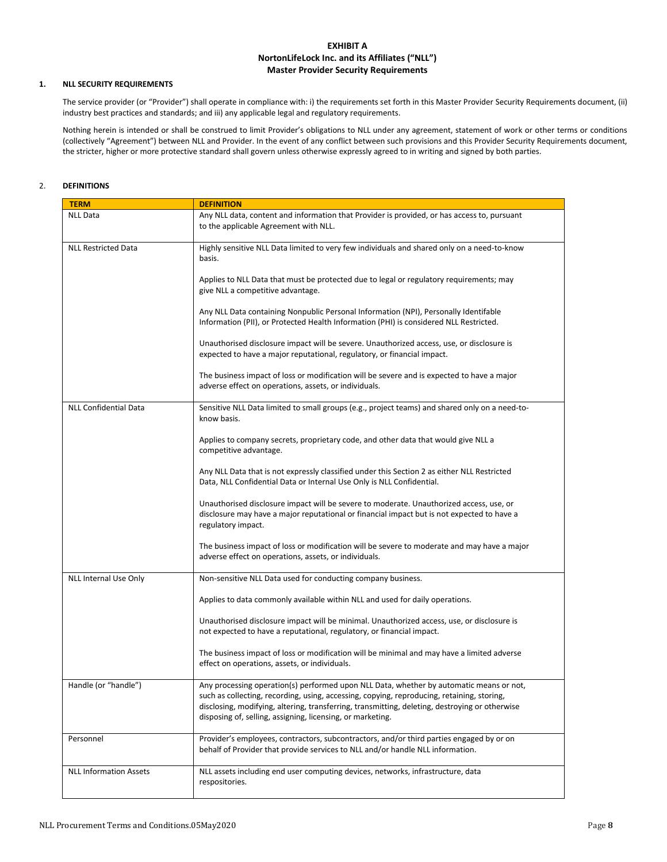# **EXHIBIT A NortonLifeLock Inc. and its Affiliates ("NLL") Master Provider Security Requirements**

# **1. NLL SECURITY REQUIREMENTS**

The service provider (or "Provider") shall operate in compliance with: i) the requirements set forth in this Master Provider Security Requirements document, (ii) industry best practices and standards; and iii) any applicable legal and regulatory requirements.

Nothing herein is intended or shall be construed to limit Provider's obligations to NLL under any agreement, statement of work or other terms or conditions (collectively "Agreement") between NLL and Provider. In the event of any conflict between such provisions and this Provider Security Requirements document, the stricter, higher or more protective standard shall govern unless otherwise expressly agreed to in writing and signed by both parties.

# 2. **DEFINITIONS**

| <b>TERM</b>                   | <b>DEFINITION</b>                                                                                                                                                                                                                                                                                                                                     |
|-------------------------------|-------------------------------------------------------------------------------------------------------------------------------------------------------------------------------------------------------------------------------------------------------------------------------------------------------------------------------------------------------|
| <b>NLL Data</b>               | Any NLL data, content and information that Provider is provided, or has access to, pursuant<br>to the applicable Agreement with NLL.                                                                                                                                                                                                                  |
| <b>NLL Restricted Data</b>    | Highly sensitive NLL Data limited to very few individuals and shared only on a need-to-know<br>basis.                                                                                                                                                                                                                                                 |
|                               | Applies to NLL Data that must be protected due to legal or regulatory requirements; may<br>give NLL a competitive advantage.                                                                                                                                                                                                                          |
|                               | Any NLL Data containing Nonpublic Personal Information (NPI), Personally Identifable<br>Information (PII), or Protected Health Information (PHI) is considered NLL Restricted.                                                                                                                                                                        |
|                               | Unauthorised disclosure impact will be severe. Unauthorized access, use, or disclosure is<br>expected to have a major reputational, regulatory, or financial impact.                                                                                                                                                                                  |
|                               | The business impact of loss or modification will be severe and is expected to have a major<br>adverse effect on operations, assets, or individuals.                                                                                                                                                                                                   |
| <b>NLL Confidential Data</b>  | Sensitive NLL Data limited to small groups (e.g., project teams) and shared only on a need-to-<br>know basis.                                                                                                                                                                                                                                         |
|                               | Applies to company secrets, proprietary code, and other data that would give NLL a<br>competitive advantage.                                                                                                                                                                                                                                          |
|                               | Any NLL Data that is not expressly classified under this Section 2 as either NLL Restricted<br>Data, NLL Confidential Data or Internal Use Only is NLL Confidential.                                                                                                                                                                                  |
|                               | Unauthorised disclosure impact will be severe to moderate. Unauthorized access, use, or<br>disclosure may have a major reputational or financial impact but is not expected to have a<br>regulatory impact.                                                                                                                                           |
|                               | The business impact of loss or modification will be severe to moderate and may have a major<br>adverse effect on operations, assets, or individuals.                                                                                                                                                                                                  |
| NLL Internal Use Only         | Non-sensitive NLL Data used for conducting company business.                                                                                                                                                                                                                                                                                          |
|                               | Applies to data commonly available within NLL and used for daily operations.                                                                                                                                                                                                                                                                          |
|                               | Unauthorised disclosure impact will be minimal. Unauthorized access, use, or disclosure is<br>not expected to have a reputational, regulatory, or financial impact.                                                                                                                                                                                   |
|                               | The business impact of loss or modification will be minimal and may have a limited adverse<br>effect on operations, assets, or individuals.                                                                                                                                                                                                           |
| Handle (or "handle")          | Any processing operation(s) performed upon NLL Data, whether by automatic means or not,<br>such as collecting, recording, using, accessing, copying, reproducing, retaining, storing,<br>disclosing, modifying, altering, transferring, transmitting, deleting, destroying or otherwise<br>disposing of, selling, assigning, licensing, or marketing. |
| Personnel                     | Provider's employees, contractors, subcontractors, and/or third parties engaged by or on<br>behalf of Provider that provide services to NLL and/or handle NLL information.                                                                                                                                                                            |
| <b>NLL Information Assets</b> | NLL assets including end user computing devices, networks, infrastructure, data<br>respositories.                                                                                                                                                                                                                                                     |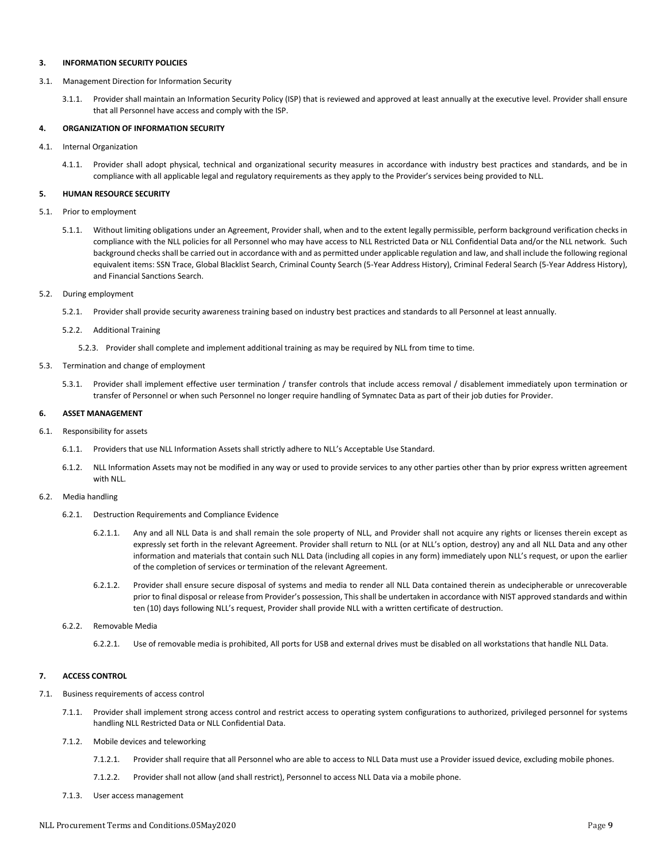# **3. INFORMATION SECURITY POLICIES**

### 3.1. Management Direction for Information Security

3.1.1. Provider shall maintain an Information Security Policy (ISP) that is reviewed and approved at least annually at the executive level. Provider shall ensure that all Personnel have access and comply with the ISP.

### **4. ORGANIZATION OF INFORMATION SECURITY**

- 4.1. Internal Organization
	- 4.1.1. Provider shall adopt physical, technical and organizational security measures in accordance with industry best practices and standards, and be in compliance with all applicable legal and regulatory requirements as they apply to the Provider's services being provided to NLL.

### **5. HUMAN RESOURCE SECURITY**

- 5.1. Prior to employment
	- 5.1.1. Without limiting obligations under an Agreement, Provider shall, when and to the extent legally permissible, perform background verification checks in compliance with the NLL policies for all Personnel who may have access to NLL Restricted Data or NLL Confidential Data and/or the NLL network. Such background checks shall be carried out in accordance with and as permitted under applicable regulation and law, and shall include the following regional equivalent items: SSN Trace, Global Blacklist Search, Criminal County Search (5-Year Address History), Criminal Federal Search (5-Year Address History), and Financial Sanctions Search.

### 5.2. During employment

5.2.1. Provider shall provide security awareness training based on industry best practices and standards to all Personnel at least annually.

# 5.2.2. Additional Training

5.2.3. Provider shall complete and implement additional training as may be required by NLL from time to time.

### 5.3. Termination and change of employment

5.3.1. Provider shall implement effective user termination / transfer controls that include access removal / disablement immediately upon termination or transfer of Personnel or when such Personnel no longer require handling of Symnatec Data as part of their job duties for Provider.

### **6. ASSET MANAGEMENT**

- 6.1. Responsibility for assets
	- 6.1.1. Providers that use NLL Information Assets shall strictly adhere to NLL's Acceptable Use Standard.
	- 6.1.2. NLL Information Assets may not be modified in any way or used to provide services to any other parties other than by prior express written agreement with NLL.

# 6.2. Media handling

- 6.2.1. Destruction Requirements and Compliance Evidence
	- 6.2.1.1. Any and all NLL Data is and shall remain the sole property of NLL, and Provider shall not acquire any rights or licenses therein except as expressly set forth in the relevant Agreement. Provider shall return to NLL (or at NLL's option, destroy) any and all NLL Data and any other information and materials that contain such NLL Data (including all copies in any form) immediately upon NLL's request, or upon the earlier of the completion of services or termination of the relevant Agreement.
	- 6.2.1.2. Provider shall ensure secure disposal of systems and media to render all NLL Data contained therein as undecipherable or unrecoverable prior to final disposal or release from Provider's possession, This shall be undertaken in accordance with NIST approved standards and within ten (10) days following NLL's request, Provider shall provide NLL with a written certificate of destruction.

# 6.2.2. Removable Media

6.2.2.1. Use of removable media is prohibited, All ports for USB and external drives must be disabled on all workstations that handle NLL Data.

# **7. ACCESS CONTROL**

- 7.1. Business requirements of access control
	- 7.1.1. Provider shall implement strong access control and restrict access to operating system configurations to authorized, privileged personnel for systems handling NLL Restricted Data or NLL Confidential Data.
	- 7.1.2. Mobile devices and teleworking
		- 7.1.2.1. Provider shall require that all Personnel who are able to access to NLL Data must use a Provider issued device, excluding mobile phones.
		- 7.1.2.2. Provider shall not allow (and shall restrict), Personnel to access NLL Data via a mobile phone.
	- 7.1.3. User access management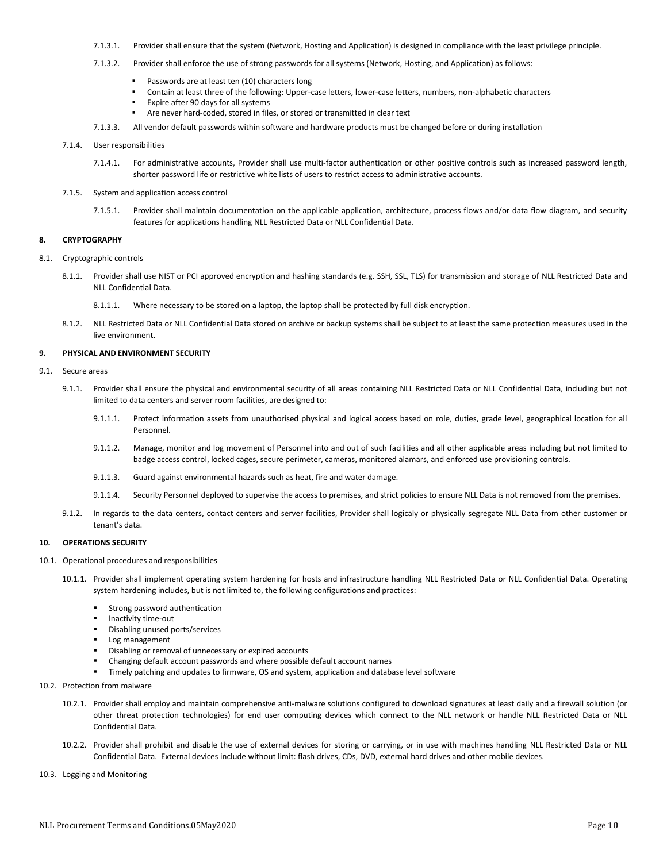- 7.1.3.1. Provider shall ensure that the system (Network, Hosting and Application) is designed in compliance with the least privilege principle.
- 7.1.3.2. Provider shall enforce the use of strong passwords for all systems (Network, Hosting, and Application) as follows:
	- Passwords are at least ten (10) characters long
	- Contain at least three of the following: Upper-case letters, lower-case letters, numbers, non-alphabetic characters
	- Expire after 90 days for all systems
	- Are never hard-coded, stored in files, or stored or transmitted in clear text
- 7.1.3.3. All vendor default passwords within software and hardware products must be changed before or during installation
- 7.1.4. User responsibilities
	- 7.1.4.1. For administrative accounts, Provider shall use multi-factor authentication or other positive controls such as increased password length, shorter password life or restrictive white lists of users to restrict access to administrative accounts.
- 7.1.5. System and application access control
	- 7.1.5.1. Provider shall maintain documentation on the applicable application, architecture, process flows and/or data flow diagram, and security features for applications handling NLL Restricted Data or NLL Confidential Data.

## **8. CRYPTOGRAPHY**

- 8.1. Cryptographic controls
	- 8.1.1. Provider shall use NIST or PCI approved encryption and hashing standards (e.g. SSH, SSL, TLS) for transmission and storage of NLL Restricted Data and NLL Confidential Data.
		- 8.1.1.1. Where necessary to be stored on a laptop, the laptop shall be protected by full disk encryption.
	- 8.1.2. NLL Restricted Data or NLL Confidential Data stored on archive or backup systems shall be subject to at least the same protection measures used in the live environment.

## **9. PHYSICAL AND ENVIRONMENT SECURITY**

- 9.1. Secure areas
	- 9.1.1. Provider shall ensure the physical and environmental security of all areas containing NLL Restricted Data or NLL Confidential Data, including but not limited to data centers and server room facilities, are designed to:
		- 9.1.1.1. Protect information assets from unauthorised physical and logical access based on role, duties, grade level, geographical location for all Personnel.
		- 9.1.1.2. Manage, monitor and log movement of Personnel into and out of such facilities and all other applicable areas including but not limited to badge access control, locked cages, secure perimeter, cameras, monitored alamars, and enforced use provisioning controls.
		- 9.1.1.3. Guard against environmental hazards such as heat, fire and water damage.
		- 9.1.1.4. Security Personnel deployed to supervise the access to premises, and strict policies to ensure NLL Data is not removed from the premises.
	- 9.1.2. In regards to the data centers, contact centers and server facilities, Provider shall logicaly or physically segregate NLL Data from other customer or tenant's data.

### **10. OPERATIONS SECURITY**

- 10.1. Operational procedures and responsibilities
	- 10.1.1. Provider shall implement operating system hardening for hosts and infrastructure handling NLL Restricted Data or NLL Confidential Data. Operating system hardening includes, but is not limited to, the following configurations and practices:
		- Strong password authentication
		- Inactivity time-out
		- Disabling unused ports/services
		- Log management
		- Disabling or removal of unnecessary or expired accounts
		- Changing default account passwords and where possible default account names
		- Timely patching and updates to firmware, OS and system, application and database level software
- 10.2. Protection from malware
	- 10.2.1. Provider shall employ and maintain comprehensive anti-malware solutions configured to download signatures at least daily and a firewall solution (or other threat protection technologies) for end user computing devices which connect to the NLL network or handle NLL Restricted Data or NLL Confidential Data.
	- 10.2.2. Provider shall prohibit and disable the use of external devices for storing or carrying, or in use with machines handling NLL Restricted Data or NLL Confidential Data. External devices include without limit: flash drives, CDs, DVD, external hard drives and other mobile devices.
- 10.3. Logging and Monitoring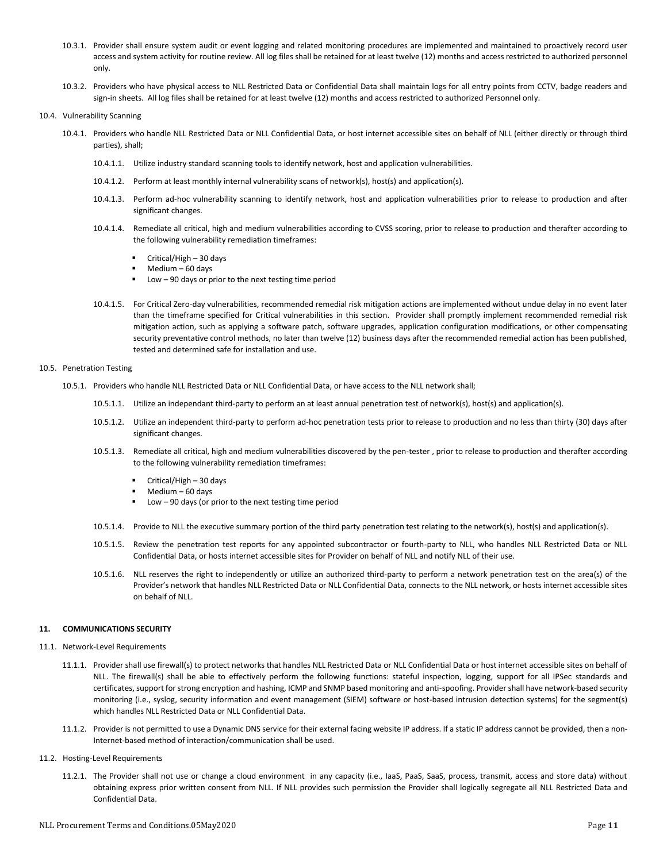- 10.3.1. Provider shall ensure system audit or event logging and related monitoring procedures are implemented and maintained to proactively record user access and system activity for routine review. All log files shall be retained for at least twelve (12) months and access restricted to authorized personnel only.
- 10.3.2. Providers who have physical access to NLL Restricted Data or Confidential Data shall maintain logs for all entry points from CCTV, badge readers and sign-in sheets. All log files shall be retained for at least twelve (12) months and access restricted to authorized Personnel only.
- 10.4. Vulnerability Scanning
	- 10.4.1. Providers who handle NLL Restricted Data or NLL Confidential Data, or host internet accessible sites on behalf of NLL (either directly or through third parties), shall;
		- 10.4.1.1. Utilize industry standard scanning tools to identify network, host and application vulnerabilities.
		- 10.4.1.2. Perform at least monthly internal vulnerability scans of network(s), host(s) and application(s).
		- 10.4.1.3. Perform ad-hoc vulnerability scanning to identify network, host and application vulnerabilities prior to release to production and after significant changes.
		- 10.4.1.4. Remediate all critical, high and medium vulnerabilities according to CVSS scoring, prior to release to production and therafter according to the following vulnerability remediation timeframes:
			- Critical/High 30 days
			- $Median 60 days$
			- Low 90 days or prior to the next testing time period
		- 10.4.1.5. For Critical Zero-day vulnerabilities, recommended remedial risk mitigation actions are implemented without undue delay in no event later than the timeframe specified for Critical vulnerabilities in this section. Provider shall promptly implement recommended remedial risk mitigation action, such as applying a software patch, software upgrades, application configuration modifications, or other compensating security preventative control methods, no later than twelve (12) business days after the recommended remedial action has been published, tested and determined safe for installation and use.

### 10.5. Penetration Testing

- 10.5.1. Providers who handle NLL Restricted Data or NLL Confidential Data, or have access to the NLL network shall;
	- 10.5.1.1. Utilize an independant third-party to perform an at least annual penetration test of network(s), host(s) and application(s).
	- 10.5.1.2. Utilize an independent third-party to perform ad-hoc penetration tests prior to release to production and no less than thirty (30) days after significant changes.
	- 10.5.1.3. Remediate all critical, high and medium vulnerabilities discovered by the pen-tester , prior to release to production and therafter according to the following vulnerability remediation timeframes:
		- Critical/High 30 days
		- $Median 60$  days
		- $Low 90$  days (or prior to the next testing time period
	- 10.5.1.4. Provide to NLL the executive summary portion of the third party penetration test relating to the network(s), host(s) and application(s).
	- 10.5.1.5. Review the penetration test reports for any appointed subcontractor or fourth-party to NLL, who handles NLL Restricted Data or NLL Confidential Data, or hosts internet accessible sites for Provider on behalf of NLL and notify NLL of their use.
	- 10.5.1.6. NLL reserves the right to independently or utilize an authorized third-party to perform a network penetration test on the area(s) of the Provider's network that handles NLL Restricted Data or NLL Confidential Data, connects to the NLL network, or hosts internet accessible sites on behalf of NLL.

## **11. COMMUNICATIONS SECURITY**

- 11.1. Network-Level Requirements
	- 11.1.1. Provider shall use firewall(s) to protect networks that handles NLL Restricted Data or NLL Confidential Data or host internet accessible sites on behalf of NLL. The firewall(s) shall be able to effectively perform the following functions: stateful inspection, logging, support for all IPSec standards and certificates, support for strong encryption and hashing, ICMP and SNMP based monitoring and anti-spoofing. Provider shall have network-based security monitoring (i.e., syslog, security information and event management (SIEM) software or host-based intrusion detection systems) for the segment(s) which handles NLL Restricted Data or NLL Confidential Data.
	- 11.1.2. Provider is not permitted to use a Dynamic DNS service for their external facing website IP address. If a static IP address cannot be provided, then a non-Internet-based method of interaction/communication shall be used.

## 11.2. Hosting-Level Requirements

11.2.1. The Provider shall not use or change a cloud environment in any capacity (i.e., IaaS, PaaS, SaaS, process, transmit, access and store data) without obtaining express prior written consent from NLL. If NLL provides such permission the Provider shall logically segregate all NLL Restricted Data and Confidential Data.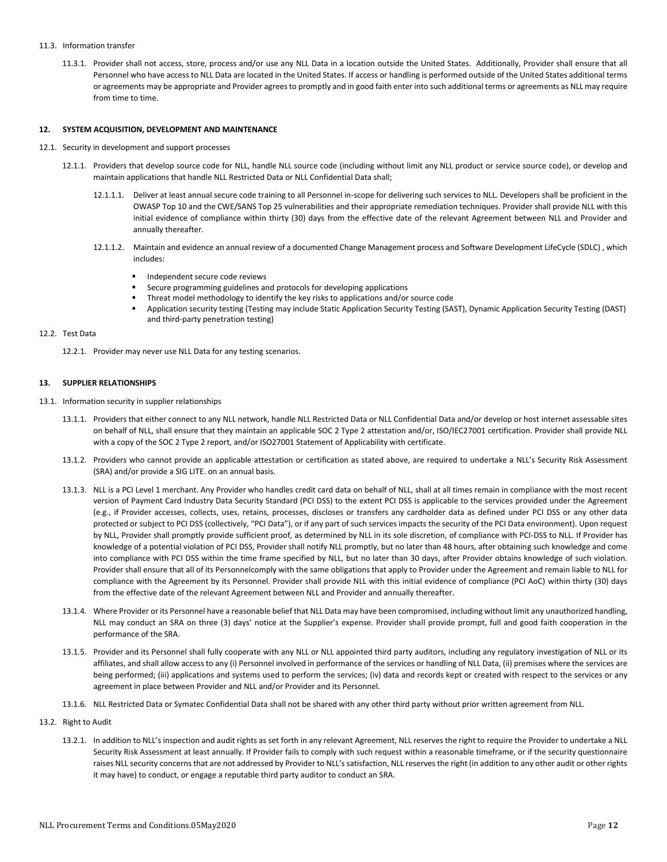### 11.3. Information transfer

11.3.1. Provider shall not access, store, process and/or use any NLL Data in a location outside the United States. Additionally, Provider shall ensure that all Personnel who have access to NLL Data are located in the United States. If access or handling is performed outside of the United States additional terms or agreements may be appropriate and Provider agrees to promptly and in good faith enter into such additional terms or agreements as NLL may require from time to time.

## **12. SYSTEM ACQUISITION, DEVELOPMENT AND MAINTENANCE**

- 12.1. Security in development and support processes
	- 12.1.1. Providers that develop source code for NLL, handle NLL source code (including without limit any NLL product or service source code), or develop and maintain applications that handle NLL Restricted Data or NLL Confidential Data shall;
		- 12.1.1.1. Deliver at least annual secure code training to all Personnel in-scope for delivering such services to NLL. Developers shall be proficient in the OWASP Top 10 and the CWE/SANS Top 25 vulnerabilities and their appropriate remediation techniques. Provider shall provide NLL with this initial evidence of compliance within thirty (30) days from the effective date of the relevant Agreement between NLL and Provider and annually thereafter.
		- 12.1.1.2. Maintain and evidence an annual review of a documented Change Management process and Software Development LifeCycle (SDLC) , which includes:
			- Independent secure code reviews
			- Secure programming guidelines and protocols for developing applications
			- Threat model methodology to identify the key risks to applications and/or source code
			- Application security testing (Testing may include Static Application Security Testing (SAST), Dynamic Application Security Testing (DAST) and third-party penetration testing)

# 12.2. Test Data

12.2.1. Provider may never use NLL Data for any testing scenarios.

# **13. SUPPLIER RELATIONSHIPS**

- 13.1. Information security in supplier relationships
	- 13.1.1. Providers that either connect to any NLL network, handle NLL Restricted Data or NLL Confidential Data and/or develop or host internet assessable sites on behalf of NLL, shall ensure that they maintain an applicable SOC 2 Type 2 attestation and/or, ISO/IEC27001 certification. Provider shall provide NLL with a copy of the SOC 2 Type 2 report, and/or ISO27001 Statement of Applicability with certificate.
	- 13.1.2. Providers who cannot provide an applicable attestation or certification as stated above, are required to undertake a NLL's Security Risk Assessment (SRA) and/or provide a SIG LITE. on an annual basis.
	- 13.1.3. NLL is a PCI Level 1 merchant. Any Provider who handles credit card data on behalf of NLL, shall at all times remain in compliance with the most recent version of Payment Card Industry Data Security Standard (PCI DSS) to the extent PCI DSS is applicable to the services provided under the Agreement (e.g., if Provider accesses, collects, uses, retains, processes, discloses or transfers any cardholder data as defined under PCI DSS or any other data protected or subject to PCI DSS (collectively, "PCI Data"), or if any part of such services impacts the security of the PCI Data environment). Upon request by NLL, Provider shall promptly provide sufficient proof, as determined by NLL in its sole discretion, of compliance with PCI-DSS to NLL. If Provider has knowledge of a potential violation of PCI DSS, Provider shall notify NLL promptly, but no later than 48 hours, after obtaining such knowledge and come into compliance with PCI DSS within the time frame specified by NLL, but no later than 30 days, after Provider obtains knowledge of such violation. Provider shall ensure that all of its Personnelcomply with the same obligations that apply to Provider under the Agreement and remain liable to NLL for compliance with the Agreement by its Personnel. Provider shall provide NLL with this initial evidence of compliance (PCI AoC) within thirty (30) days from the effective date of the relevant Agreement between NLL and Provider and annually thereafter.
	- 13.1.4. Where Provider or its Personnel have a reasonable belief that NLL Data may have been compromised, including without limit any unauthorized handling, NLL may conduct an SRA on three (3) days' notice at the Supplier's expense. Provider shall provide prompt, full and good faith cooperation in the performance of the SRA.
	- 13.1.5. Provider and its Personnel shall fully cooperate with any NLL or NLL appointed third party auditors, including any regulatory investigation of NLL or its affiliates, and shall allow access to any (i) Personnel involved in performance of the services or handling of NLL Data, (ii) premises where the services are being performed; (iii) applications and systems used to perform the services; (iv) data and records kept or created with respect to the services or any agreement in place between Provider and NLL and/or Provider and its Personnel.
	- 13.1.6. NLL Restricted Data or Symatec Confidential Data shall not be shared with any other third party without prior written agreement from NLL.
- 13.2. Right to Audit
	- 13.2.1. In addition to NLL's inspection and audit rights as set forth in any relevant Agreement, NLL reserves the right to require the Provider to undertake a NLL Security Risk Assessment at least annually. If Provider fails to comply with such request within a reasonable timeframe, or if the security questionnaire raises NLL security concerns that are not addressed by Provider to NLL's satisfaction, NLL reserves the right (in addition to any other audit or other rights it may have) to conduct, or engage a reputable third party auditor to conduct an SRA.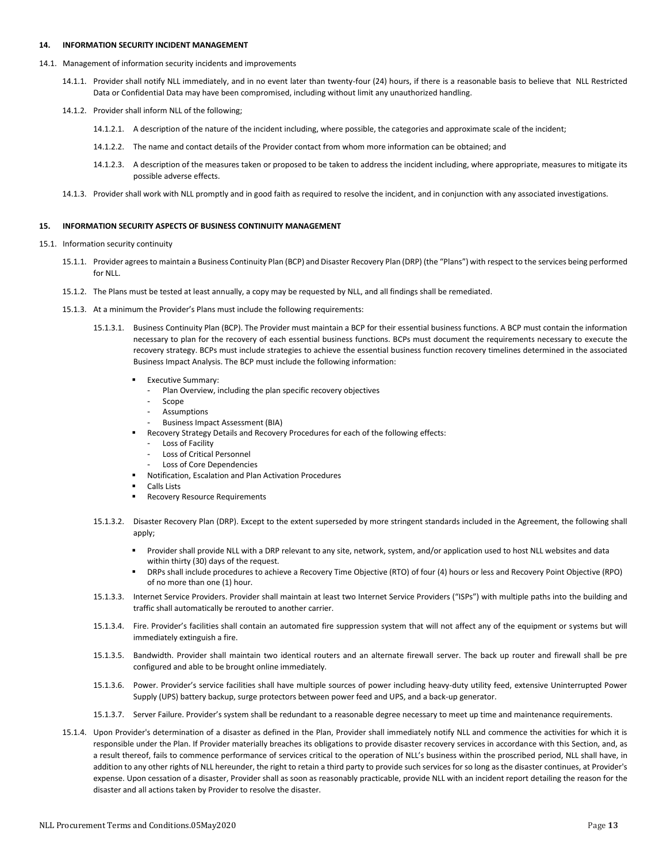### **14. INFORMATION SECURITY INCIDENT MANAGEMENT**

- 14.1. Management of information security incidents and improvements
	- 14.1.1. Provider shall notify NLL immediately, and in no event later than twenty-four (24) hours, if there is a reasonable basis to believe that NLL Restricted Data or Confidential Data may have been compromised, including without limit any unauthorized handling.
	- 14.1.2. Provider shall inform NLL of the following;
		- 14.1.2.1. A description of the nature of the incident including, where possible, the categories and approximate scale of the incident;
		- 14.1.2.2. The name and contact details of the Provider contact from whom more information can be obtained; and
		- 14.1.2.3. A description of the measures taken or proposed to be taken to address the incident including, where appropriate, measures to mitigate its possible adverse effects.
	- 14.1.3. Provider shall work with NLL promptly and in good faith as required to resolve the incident, and in conjunction with any associated investigations.

### **15. INFORMATION SECURITY ASPECTS OF BUSINESS CONTINUITY MANAGEMENT**

- 15.1. Information security continuity
	- 15.1.1. Provider agrees to maintain a Business Continuity Plan (BCP) and Disaster Recovery Plan (DRP) (the "Plans") with respect to the services being performed for NLL.
	- 15.1.2. The Plans must be tested at least annually, a copy may be requested by NLL, and all findings shall be remediated.
	- 15.1.3. At a minimum the Provider's Plans must include the following requirements:
		- 15.1.3.1. Business Continuity Plan (BCP). The Provider must maintain a BCP for their essential business functions. A BCP must contain the information necessary to plan for the recovery of each essential business functions. BCPs must document the requirements necessary to execute the recovery strategy. BCPs must include strategies to achieve the essential business function recovery timelines determined in the associated Business Impact Analysis. The BCP must include the following information:
			- **Executive Summary:** 
				- Plan Overview, including the plan specific recovery objectives
				- **Scope**
				- **Assumptions**
				- Business Impact Assessment (BIA)
			- Recovery Strategy Details and Recovery Procedures for each of the following effects:
				- Loss of Facility
				- Loss of Critical Personnel
				- Loss of Core Dependencies
			- Notification, Escalation and Plan Activation Procedures
			- **Calls Lists**
			- **Recovery Resource Requirements**
		- 15.1.3.2. Disaster Recovery Plan (DRP). Except to the extent superseded by more stringent standards included in the Agreement, the following shall apply;
			- Provider shall provide NLL with a DRP relevant to any site, network, system, and/or application used to host NLL websites and data within thirty (30) days of the request.
			- DRPs shall include procedures to achieve a Recovery Time Objective (RTO) of four (4) hours or less and Recovery Point Objective (RPO) of no more than one (1) hour.
		- 15.1.3.3. Internet Service Providers. Provider shall maintain at least two Internet Service Providers ("ISPs") with multiple paths into the building and traffic shall automatically be rerouted to another carrier.
		- 15.1.3.4. Fire. Provider's facilities shall contain an automated fire suppression system that will not affect any of the equipment or systems but will immediately extinguish a fire.
		- 15.1.3.5. Bandwidth. Provider shall maintain two identical routers and an alternate firewall server. The back up router and firewall shall be pre configured and able to be brought online immediately.
		- 15.1.3.6. Power. Provider's service facilities shall have multiple sources of power including heavy-duty utility feed, extensive Uninterrupted Power Supply (UPS) battery backup, surge protectors between power feed and UPS, and a back-up generator.
		- 15.1.3.7. Server Failure. Provider's system shall be redundant to a reasonable degree necessary to meet up time and maintenance requirements.
	- 15.1.4. Upon Provider's determination of a disaster as defined in the Plan, Provider shall immediately notify NLL and commence the activities for which it is responsible under the Plan. If Provider materially breaches its obligations to provide disaster recovery services in accordance with this Section, and, as a result thereof, fails to commence performance of services critical to the operation of NLL's business within the proscribed period, NLL shall have, in addition to any other rights of NLL hereunder, the right to retain a third party to provide such services for so long as the disaster continues, at Provider's expense. Upon cessation of a disaster, Provider shall as soon as reasonably practicable, provide NLL with an incident report detailing the reason for the disaster and all actions taken by Provider to resolve the disaster.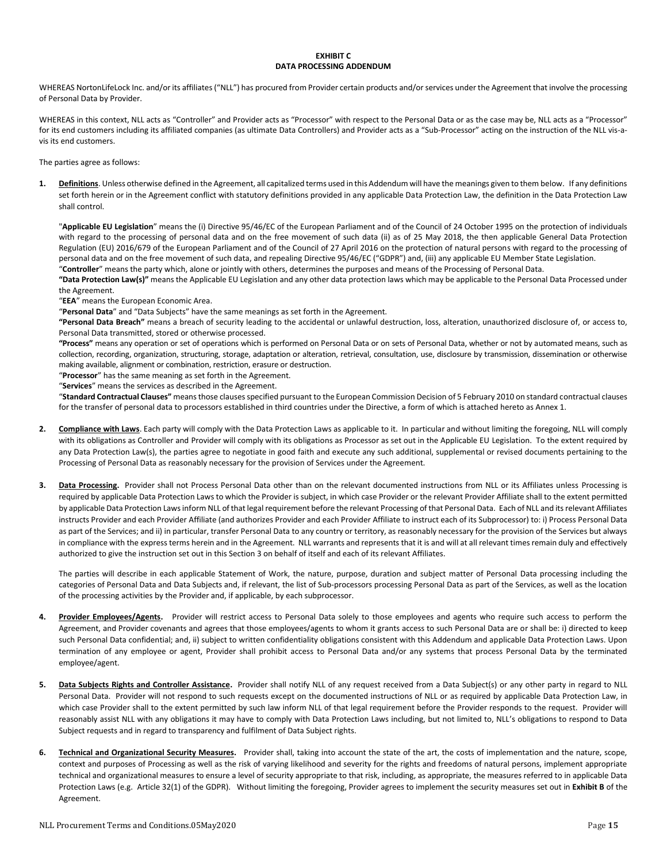# **EXHIBIT C DATA PROCESSING ADDENDUM**

WHEREAS NortonLifeLock Inc. and/or its affiliates ("NLL") has procured from Provider certain products and/or services under the Agreement that involve the processing of Personal Data by Provider.

WHEREAS in this context, NLL acts as "Controller" and Provider acts as "Processor" with respect to the Personal Data or as the case may be, NLL acts as a "Processor" for its end customers including its affiliated companies (as ultimate Data Controllers) and Provider acts as a "Sub-Processor" acting on the instruction of the NLL vis-avis its end customers.

The parties agree as follows:

**1. Definitions**. Unless otherwise defined in the Agreement, all capitalized terms used in this Addendum will have the meanings given to them below. If any definitions set forth herein or in the Agreement conflict with statutory definitions provided in any applicable Data Protection Law, the definition in the Data Protection Law shall control.

"**Applicable EU Legislation**" means the (i) Directive 95/46/EC of the European Parliament and of the Council of 24 October 1995 on the protection of individuals with regard to the processing of personal data and on the free movement of such data (ii) as of 25 May 2018, the then applicable General Data Protection Regulation (EU) 2016/679 of the European Parliament and of the Council of 27 April 2016 on the protection of natural persons with regard to the processing of personal data and on the free movement of such data, and repealing Directive 95/46/EC ("GDPR") and, (iii) any applicable EU Member State Legislation.

"**Controller**" means the party which, alone or jointly with others, determines the purposes and means of the Processing of Personal Data.

**"Data Protection Law(s)"** means the Applicable EU Legislation and any other data protection laws which may be applicable to the Personal Data Processed under the Agreement.

"**EEA**" means the European Economic Area.

"**Personal Data**" and "Data Subjects" have the same meanings as set forth in the Agreement.

**"Personal Data Breach"** means a breach of security leading to the accidental or unlawful destruction, loss, alteration, unauthorized disclosure of, or access to, Personal Data transmitted, stored or otherwise processed.

**"Process"** means any operation or set of operations which is performed on Personal Data or on sets of Personal Data, whether or not by automated means, such as collection, recording, organization, structuring, storage, adaptation or alteration, retrieval, consultation, use, disclosure by transmission, dissemination or otherwise making available, alignment or combination, restriction, erasure or destruction.

"**Processor**" has the same meaning as set forth in the Agreement.

"**Services**" means the services as described in the Agreement.

"**Standard Contractual Clauses"** means those clauses specified pursuant to the European Commission Decision of 5 February 2010 on standard contractual clauses for the transfer of personal data to processors established in third countries under the Directive, a form of which is attached hereto as Annex 1.

- **2. Compliance with Laws**. Each party will comply with the Data Protection Laws as applicable to it. In particular and without limiting the foregoing, NLL will comply with its obligations as Controller and Provider will comply with its obligations as Processor as set out in the Applicable EU Legislation. To the extent required by any Data Protection Law(s), the parties agree to negotiate in good faith and execute any such additional, supplemental or revised documents pertaining to the Processing of Personal Data as reasonably necessary for the provision of Services under the Agreement.
- Data Processing. Provider shall not Process Personal Data other than on the relevant documented instructions from NLL or its Affiliates unless Processing is required by applicable Data Protection Laws to which the Provider is subject, in which case Provider or the relevant Provider Affiliate shall to the extent permitted by applicable Data Protection Laws inform NLL of that legal requirement before the relevant Processing of that Personal Data. Each of NLL and its relevant Affiliates instructs Provider and each Provider Affiliate (and authorizes Provider and each Provider Affiliate to instruct each of its Subprocessor) to: i) Process Personal Data as part of the Services; and ii) in particular, transfer Personal Data to any country or territory, as reasonably necessary for the provision of the Services but always in compliance with the express terms herein and in the Agreement. NLL warrants and represents that it is and will at all relevant times remain duly and effectively authorized to give the instruction set out in this Section 3 on behalf of itself and each of its relevant Affiliates.

The parties will describe in each applicable Statement of Work, the nature, purpose, duration and subject matter of Personal Data processing including the categories of Personal Data and Data Subjects and, if relevant, the list of Sub-processors processing Personal Data as part of the Services, as well as the location of the processing activities by the Provider and, if applicable, by each subprocessor.

- **4. Provider Employees/Agents.** Provider will restrict access to Personal Data solely to those employees and agents who require such access to perform the Agreement, and Provider covenants and agrees that those employees/agents to whom it grants access to such Personal Data are or shall be: i) directed to keep such Personal Data confidential; and, ii) subject to written confidentiality obligations consistent with this Addendum and applicable Data Protection Laws. Upon termination of any employee or agent, Provider shall prohibit access to Personal Data and/or any systems that process Personal Data by the terminated employee/agent.
- **5. Data Subjects Rights and Controller Assistance.** Provider shall notify NLL of any request received from a Data Subject(s) or any other party in regard to NLL Personal Data. Provider will not respond to such requests except on the documented instructions of NLL or as required by applicable Data Protection Law, in which case Provider shall to the extent permitted by such law inform NLL of that legal requirement before the Provider responds to the request. Provider will reasonably assist NLL with any obligations it may have to comply with Data Protection Laws including, but not limited to, NLL's obligations to respond to Data Subject requests and in regard to transparency and fulfilment of Data Subject rights.
- **6. Technical and Organizational Security Measures.** Provider shall, taking into account the state of the art, the costs of implementation and the nature, scope, context and purposes of Processing as well as the risk of varying likelihood and severity for the rights and freedoms of natural persons, implement appropriate technical and organizational measures to ensure a level of security appropriate to that risk, including, as appropriate, the measures referred to in applicable Data Protection Laws (e.g. Article 32(1) of the GDPR). Without limiting the foregoing, Provider agrees to implement the security measures set out in **Exhibit B** of the Agreement.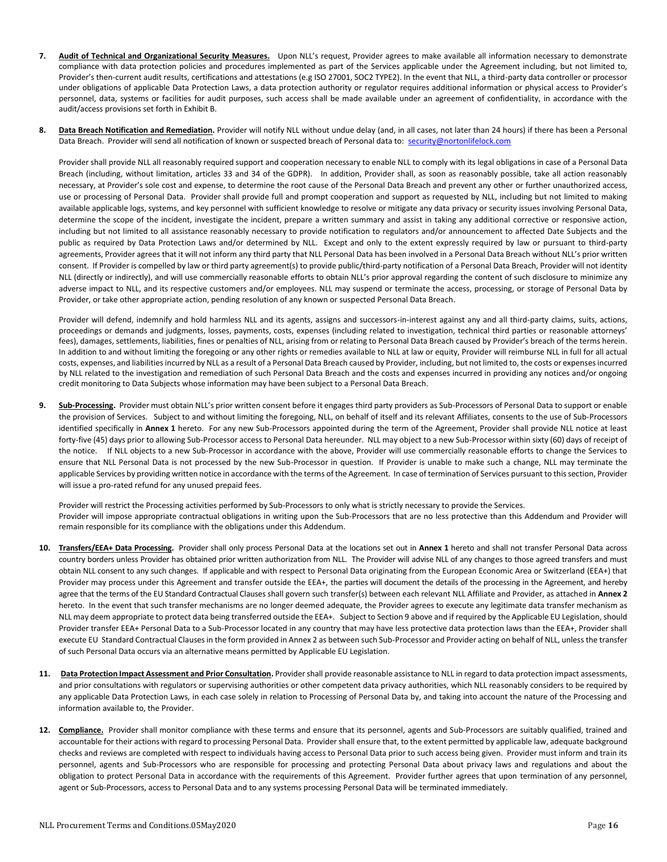- 7. Audit of Technical and Organizational Security Measures. Upon NLL's request, Provider agrees to make available all information necessary to demonstrate compliance with data protection policies and procedures implemented as part of the Services applicable under the Agreement including, but not limited to, Provider's then-current audit results, certifications and attestations (e.g ISO 27001, SOC2 TYPE2). In the event that NLL, a third-party data controller or processor under obligations of applicable Data Protection Laws, a data protection authority or regulator requires additional information or physical access to Provider's personnel, data, systems or facilities for audit purposes, such access shall be made available under an agreement of confidentiality, in accordance with the audit/access provisions set forth in Exhibit B.
- **8. Data Breach Notification and Remediation.** Provider will notify NLL without undue delay (and, in all cases, not later than 24 hours) if there has been a Personal Data Breach. Provider will send all notification of known or suspected breach of Personal data to: [security@nortonlifelock.com](mailto:security@nortonlifelock.com)

Provider shall provide NLL all reasonably required support and cooperation necessary to enable NLL to comply with its legal obligations in case of a Personal Data Breach (including, without limitation, articles 33 and 34 of the GDPR). In addition, Provider shall, as soon as reasonably possible, take all action reasonably necessary, at Provider's sole cost and expense, to determine the root cause of the Personal Data Breach and prevent any other or further unauthorized access, use or processing of Personal Data. Provider shall provide full and prompt cooperation and support as requested by NLL, including but not limited to making available applicable logs, systems, and key personnel with sufficient knowledge to resolve or mitigate any data privacy or security issues involving Personal Data, determine the scope of the incident, investigate the incident, prepare a written summary and assist in taking any additional corrective or responsive action, including but not limited to all assistance reasonably necessary to provide notification to regulators and/or announcement to affected Date Subjects and the public as required by Data Protection Laws and/or determined by NLL. Except and only to the extent expressly required by law or pursuant to third-party agreements, Provider agrees that it will not inform any third party that NLL Personal Data has been involved in a Personal Data Breach without NLL's prior written consent. If Provider is compelled by law or third party agreement(s) to provide public/third-party notification of a Personal Data Breach, Provider will not identity NLL (directly or indirectly), and will use commercially reasonable efforts to obtain NLL's prior approval regarding the content of such disclosure to minimize any adverse impact to NLL, and its respective customers and/or employees. NLL may suspend or terminate the access, processing, or storage of Personal Data by Provider, or take other appropriate action, pending resolution of any known or suspected Personal Data Breach.

Provider will defend, indemnify and hold harmless NLL and its agents, assigns and successors-in-interest against any and all third-party claims, suits, actions, proceedings or demands and judgments, losses, payments, costs, expenses (including related to investigation, technical third parties or reasonable attorneys' fees), damages, settlements, liabilities, fines or penalties of NLL, arising from or relating to Personal Data Breach caused by Provider's breach of the terms herein. In addition to and without limiting the foregoing or any other rights or remedies available to NLL at law or equity, Provider will reimburse NLL in full for all actual costs, expenses, and liabilities incurred by NLL as a result of a Personal Data Breach caused by Provider, including, but not limited to, the costs or expenses incurred by NLL related to the investigation and remediation of such Personal Data Breach and the costs and expenses incurred in providing any notices and/or ongoing credit monitoring to Data Subjects whose information may have been subject to a Personal Data Breach.

**9. Sub-Processing.** Provider must obtain NLL's prior written consent before it engages third party providers as Sub-Processors of Personal Data to support or enable the provision of Services. Subject to and without limiting the foregoing, NLL, on behalf of itself and its relevant Affiliates, consents to the use of Sub-Processors identified specifically in **Annex 1** hereto. For any new Sub-Processors appointed during the term of the Agreement, Provider shall provide NLL notice at least forty-five (45) days prior to allowing Sub-Processor access to Personal Data hereunder. NLL may object to a new Sub-Processor within sixty (60) days of receipt of the notice. If NLL objects to a new Sub-Processor in accordance with the above, Provider will use commercially reasonable efforts to change the Services to ensure that NLL Personal Data is not processed by the new Sub-Processor in question. If Provider is unable to make such a change, NLL may terminate the applicable Services by providing written notice in accordance with the terms of the Agreement. In case of termination of Services pursuant to this section, Provider will issue a pro-rated refund for any unused prepaid fees.

Provider will restrict the Processing activities performed by Sub-Processors to only what is strictly necessary to provide the Services. Provider will impose appropriate contractual obligations in writing upon the Sub-Processors that are no less protective than this Addendum and Provider will remain responsible for its compliance with the obligations under this Addendum.

- **10. Transfers/EEA+ Data Processing.** Provider shall only process Personal Data at the locations set out in **Annex 1** hereto and shall not transfer Personal Data across country borders unless Provider has obtained prior written authorization from NLL. The Provider will advise NLL of any changes to those agreed transfers and must obtain NLL consent to any such changes. If applicable and with respect to Personal Data originating from the European Economic Area or Switzerland (EEA+) that Provider may process under this Agreement and transfer outside the EEA+, the parties will document the details of the processing in the Agreement, and hereby agree that the terms of the EU Standard Contractual Clauses shall govern such transfer(s) between each relevant NLL Affiliate and Provider, as attached in **Annex 2** hereto. In the event that such transfer mechanisms are no longer deemed adequate, the Provider agrees to execute any legitimate data transfer mechanism as NLL may deem appropriate to protect data being transferred outside the EEA+. Subject to Section 9 above and if required by the Applicable EU Legislation, should Provider transfer EEA+ Personal Data to a Sub-Processor located in any country that may have less protective data protection laws than the EEA+, Provider shall execute EU Standard Contractual Clauses in the form provided in Annex 2 as between such Sub-Processor and Provider acting on behalf of NLL, unless the transfer of such Personal Data occurs via an alternative means permitted by Applicable EU Legislation.
- **11. Data Protection Impact Assessment and Prior Consultation.** Provider shall provide reasonable assistance to NLL in regard to data protection impact assessments, and prior consultations with regulators or supervising authorities or other competent data privacy authorities, which NLL reasonably considers to be required by any applicable Data Protection Laws, in each case solely in relation to Processing of Personal Data by, and taking into account the nature of the Processing and information available to, the Provider.
- 12. Compliance. Provider shall monitor compliance with these terms and ensure that its personnel, agents and Sub-Processors are suitably qualified, trained and accountable for their actions with regard to processing Personal Data. Provider shall ensure that, to the extent permitted by applicable law, adequate background checks and reviews are completed with respect to individuals having access to Personal Data prior to such access being given. Provider must inform and train its personnel, agents and Sub-Processors who are responsible for processing and protecting Personal Data about privacy laws and regulations and about the obligation to protect Personal Data in accordance with the requirements of this Agreement. Provider further agrees that upon termination of any personnel, agent or Sub-Processors, access to Personal Data and to any systems processing Personal Data will be terminated immediately.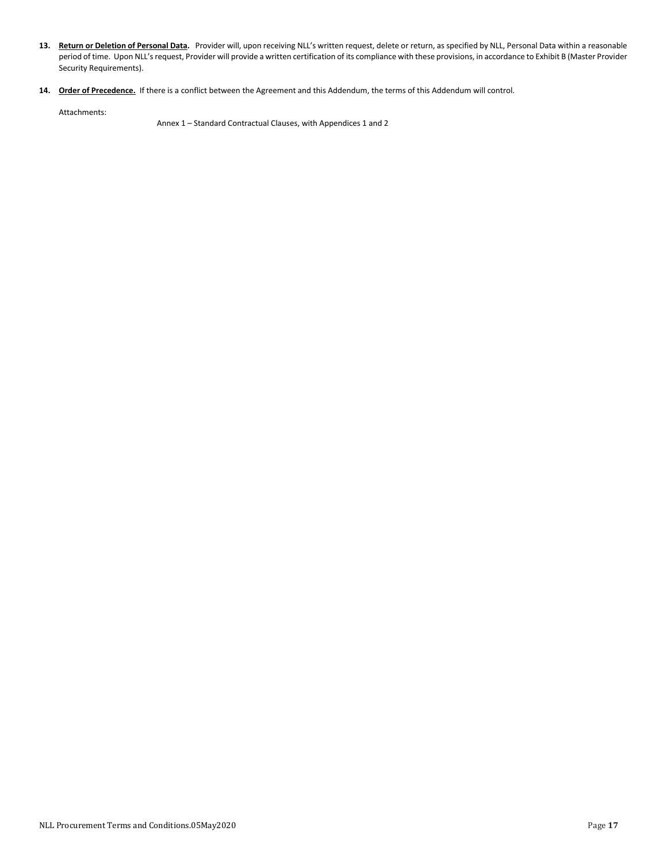- **13. Return or Deletion of Personal Data.** Provider will, upon receiving NLL's written request, delete or return, as specified by NLL, Personal Data within a reasonable period of time. Upon NLL's request, Provider will provide a written certification of its compliance with these provisions, in accordance to Exhibit B (Master Provider Security Requirements).
- **14. Order of Precedence.** If there is a conflict between the Agreement and this Addendum, the terms of this Addendum will control.

Attachments:

Annex 1 – Standard Contractual Clauses, with Appendices 1 and 2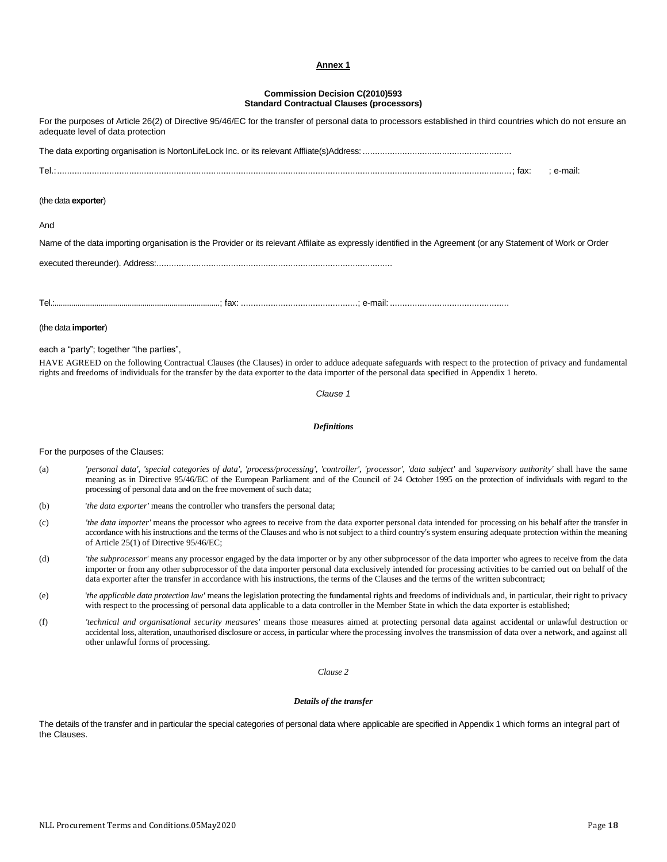# **Annex 1**

### **Commission Decision C(2010)593 Standard Contractual Clauses (processors)**

| For the purposes of Article 26(2) of Directive 95/46/EC for the transfer of personal data to processors established in third countries which do not ensure an<br>adequate level of data protection                                                                                                                    |
|-----------------------------------------------------------------------------------------------------------------------------------------------------------------------------------------------------------------------------------------------------------------------------------------------------------------------|
|                                                                                                                                                                                                                                                                                                                       |
| : e-mail:                                                                                                                                                                                                                                                                                                             |
| (the data exporter)                                                                                                                                                                                                                                                                                                   |
| And                                                                                                                                                                                                                                                                                                                   |
| Name of the data importing organisation is the Provider or its relevant Affilaite as expressly identified in the Agreement (or any Statement of Work or Order                                                                                                                                                         |
|                                                                                                                                                                                                                                                                                                                       |
|                                                                                                                                                                                                                                                                                                                       |
| (the data importer)                                                                                                                                                                                                                                                                                                   |
| each a "party"; together "the parties",                                                                                                                                                                                                                                                                               |
| HAVE AGREED on the following Contractual Clauses (the Clauses) in order to adduce adequate safeguards with respect to the protection of privacy and fundamental<br>rights and freedoms of individuals for the transfer by the data exporter to the data importer of the personal data specified in Appendix 1 hereto. |
| Clause 1                                                                                                                                                                                                                                                                                                              |
|                                                                                                                                                                                                                                                                                                                       |

# For the purposes of the Clauses:

(a) *'personal data', 'special categories of data', 'process/processing', 'controller', 'processor', 'data subject'* and *'supervisory authority'* shall have the same meaning as in Directive 95/46/EC of the European Parliament and of the Council of 24 October 1995 on the protection of individuals with regard to the processing of personal data and on the free movement of such data;

*Definitions*

- (b) '*the data exporter'* means the controller who transfers the personal data;
- (c) *'the data importer'* means the processor who agrees to receive from the data exporter personal data intended for processing on his behalf after the transfer in accordance with his instructions and the terms of the Clauses and who is not subject to a third country's system ensuring adequate protection within the meaning of Article 25(1) of Directive 95/46/EC;
- (d) *'the subprocessor'* means any processor engaged by the data importer or by any other subprocessor of the data importer who agrees to receive from the data importer or from any other subprocessor of the data importer personal data exclusively intended for processing activities to be carried out on behalf of the data exporter after the transfer in accordance with his instructions, the terms of the Clauses and the terms of the written subcontract;
- (e) '*the applicable data protection law'* means the legislation protecting the fundamental rights and freedoms of individuals and, in particular, their right to privacy with respect to the processing of personal data applicable to a data controller in the Member State in which the data exporter is established;
- (f) *'technical and organisational security measures'* means those measures aimed at protecting personal data against accidental or unlawful destruction or accidental loss, alteration, unauthorised disclosure or access, in particular where the processing involves the transmission of data over a network, and against all other unlawful forms of processing.

# *Clause 2*

# *Details of the transfer*

The details of the transfer and in particular the special categories of personal data where applicable are specified in Appendix 1 which forms an integral part of the Clauses.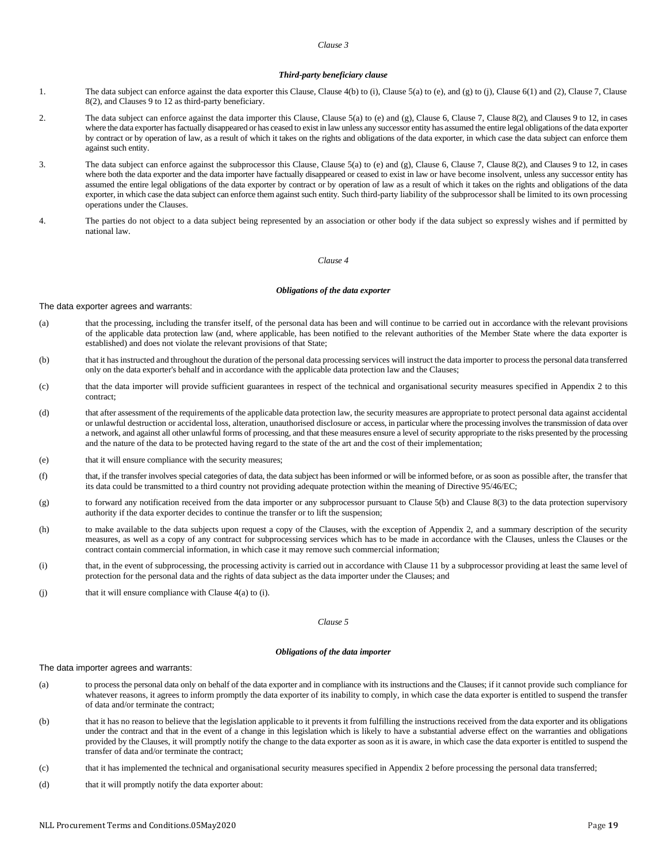#### *Clause 3*

### *Third-party beneficiary clause*

- 1. The data subject can enforce against the data exporter this Clause, Clause 4(b) to (i), Clause 5(a) to (e), and (g) to (j), Clause 6(1) and (2), Clause 7, Clause 8(2), and Clauses 9 to 12 as third-party beneficiary.
- 2. The data subject can enforce against the data importer this Clause, Clause 5(a) to (e) and (g), Clause 6, Clause 7, Clause 8(2), and Clauses 9 to 12, in cases where the data exporter has factually disappeared or has ceased to exist in law unless any successor entity has assumed the entire legal obligations of the data exporter by contract or by operation of law, as a result of which it takes on the rights and obligations of the data exporter, in which case the data subject can enforce them against such entity.
- 3. The data subject can enforce against the subprocessor this Clause, Clause 5(a) to (e) and (g), Clause 6, Clause 7, Clause 8(2), and Clauses 9 to 12, in cases where both the data exporter and the data importer have factually disappeared or ceased to exist in law or have become insolvent, unless any successor entity has assumed the entire legal obligations of the data exporter by contract or by operation of law as a result of which it takes on the rights and obligations of the data exporter, in which case the data subject can enforce them against such entity. Such third-party liability of the subprocessor shall be limited to its own processing operations under the Clauses.
- 4. The parties do not object to a data subject being represented by an association or other body if the data subject so expressly wishes and if permitted by national law.

### *Clause 4*

### *Obligations of the data exporter*

# The data exporter agrees and warrants:

- (a) that the processing, including the transfer itself, of the personal data has been and will continue to be carried out in accordance with the relevant provisions of the applicable data protection law (and, where applicable, has been notified to the relevant authorities of the Member State where the data exporter is established) and does not violate the relevant provisions of that State;
- (b) that it has instructed and throughout the duration of the personal data processing services will instruct the data importer to process the personal data transferred only on the data exporter's behalf and in accordance with the applicable data protection law and the Clauses;
- (c) that the data importer will provide sufficient guarantees in respect of the technical and organisational security measures specified in Appendix 2 to this contract;
- (d) that after assessment of the requirements of the applicable data protection law, the security measures are appropriate to protect personal data against accidental or unlawful destruction or accidental loss, alteration, unauthorised disclosure or access, in particular where the processing involves the transmission of data over a network, and against all other unlawful forms of processing, and that these measures ensure a level of security appropriate to the risks presented by the processing and the nature of the data to be protected having regard to the state of the art and the cost of their implementation;
- (e) that it will ensure compliance with the security measures;
- (f) that, if the transfer involves special categories of data, the data subject has been informed or will be informed before, or as soon as possible after, the transfer that its data could be transmitted to a third country not providing adequate protection within the meaning of Directive 95/46/EC;
- (g) to forward any notification received from the data importer or any subprocessor pursuant to Clause 5(b) and Clause 8(3) to the data protection supervisory authority if the data exporter decides to continue the transfer or to lift the suspension;
- (h) to make available to the data subjects upon request a copy of the Clauses, with the exception of Appendix 2, and a summary description of the security measures, as well as a copy of any contract for subprocessing services which has to be made in accordance with the Clauses, unless the Clauses or the contract contain commercial information, in which case it may remove such commercial information;
- (i) that, in the event of subprocessing, the processing activity is carried out in accordance with Clause 11 by a subprocessor providing at least the same level of protection for the personal data and the rights of data subject as the data importer under the Clauses; and
- (j) that it will ensure compliance with Clause 4(a) to (i).

### *Clause 5*

## *Obligations of the data importer*

### The data importer agrees and warrants:

- (a) to process the personal data only on behalf of the data exporter and in compliance with its instructions and the Clauses; if it cannot provide such compliance for whatever reasons, it agrees to inform promptly the data exporter of its inability to comply, in which case the data exporter is entitled to suspend the transfer of data and/or terminate the contract;
- (b) that it has no reason to believe that the legislation applicable to it prevents it from fulfilling the instructions received from the data exporter and its obligations under the contract and that in the event of a change in this legislation which is likely to have a substantial adverse effect on the warranties and obligations provided by the Clauses, it will promptly notify the change to the data exporter as soon as it is aware, in which case the data exporter is entitled to suspend the transfer of data and/or terminate the contract;
- (c) that it has implemented the technical and organisational security measures specified in Appendix 2 before processing the personal data transferred;
- (d) that it will promptly notify the data exporter about: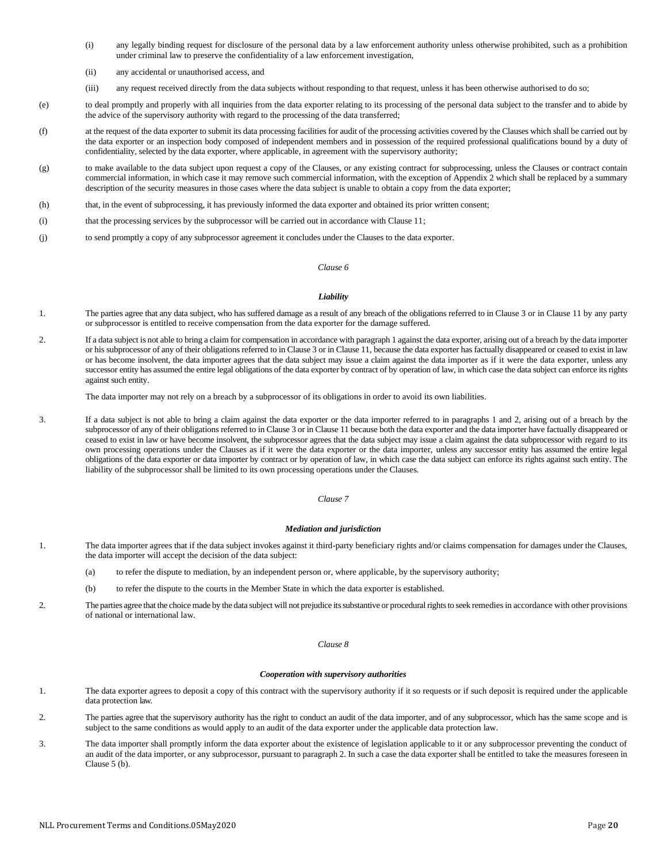- (i) any legally binding request for disclosure of the personal data by a law enforcement authority unless otherwise prohibited, such as a prohibition under criminal law to preserve the confidentiality of a law enforcement investigation,
- (ii) any accidental or unauthorised access, and
- (iii) any request received directly from the data subjects without responding to that request, unless it has been otherwise authorised to do so;
- (e) to deal promptly and properly with all inquiries from the data exporter relating to its processing of the personal data subject to the transfer and to abide by the advice of the supervisory authority with regard to the processing of the data transferred;
- (f) at the request of the data exporter to submit its data processing facilities for audit of the processing activities covered by the Clauses which shall be carried out by the data exporter or an inspection body composed of independent members and in possession of the required professional qualifications bound by a duty of confidentiality, selected by the data exporter, where applicable, in agreement with the supervisory authority;
- (g) to make available to the data subject upon request a copy of the Clauses, or any existing contract for subprocessing, unless the Clauses or contract contain commercial information, in which case it may remove such commercial information, with the exception of Appendix 2 which shall be replaced by a summary description of the security measures in those cases where the data subject is unable to obtain a copy from the data exporter;
- (h) that, in the event of subprocessing, it has previously informed the data exporter and obtained its prior written consent;
- (i) that the processing services by the subprocessor will be carried out in accordance with Clause 11;
- (j) to send promptly a copy of any subprocessor agreement it concludes under the Clauses to the data exporter.

# *Clause 6*

## *Liability*

- 1. The parties agree that any data subject, who has suffered damage as a result of any breach of the obligations referred to in Clause 3 or in Clause 11 by any party or subprocessor is entitled to receive compensation from the data exporter for the damage suffered.
- 2. If a data subject is not able to bring a claim for compensation in accordance with paragraph 1 against the data exporter, arising out of a breach by the data importer or his subprocessor of any of their obligations referred to in Clause 3 or in Clause 11, because the data exporter has factually disappeared or ceased to exist in law or has become insolvent, the data importer agrees that the data subject may issue a claim against the data importer as if it were the data exporter, unless any successor entity has assumed the entire legal obligations of the data exporter by contract of by operation of law, in which case the data subject can enforce its rights against such entity.

The data importer may not rely on a breach by a subprocessor of its obligations in order to avoid its own liabilities.

3. If a data subject is not able to bring a claim against the data exporter or the data importer referred to in paragraphs 1 and 2, arising out of a breach by the subprocessor of any of their obligations referred to in Clause 3 or in Clause 11 because both the data exporter and the data importer have factually disappeared or ceased to exist in law or have become insolvent, the subprocessor agrees that the data subject may issue a claim against the data subprocessor with regard to its own processing operations under the Clauses as if it were the data exporter or the data importer, unless any successor entity has assumed the entire legal obligations of the data exporter or data importer by contract or by operation of law, in which case the data subject can enforce its rights against such entity. The liability of the subprocessor shall be limited to its own processing operations under the Clauses.

### *Clause 7*

## *Mediation and jurisdiction*

- 1. The data importer agrees that if the data subject invokes against it third-party beneficiary rights and/or claims compensation for damages under the Clauses, the data importer will accept the decision of the data subject:
	- (a) to refer the dispute to mediation, by an independent person or, where applicable, by the supervisory authority;
	- (b) to refer the dispute to the courts in the Member State in which the data exporter is established.
- 2. The parties agree that the choice made by the data subject will not prejudice its substantive or procedural rights to seek remedies in accordance with other provisions of national or international law.

## *Clause 8*

# *Cooperation with supervisory authorities*

- 1. The data exporter agrees to deposit a copy of this contract with the supervisory authority if it so requests or if such deposit is required under the applicable data protection law.
- 2. The parties agree that the supervisory authority has the right to conduct an audit of the data importer, and of any subprocessor, which has the same scope and is subject to the same conditions as would apply to an audit of the data exporter under the applicable data protection law.
- 3. The data importer shall promptly inform the data exporter about the existence of legislation applicable to it or any subprocessor preventing the conduct of an audit of the data importer, or any subprocessor, pursuant to paragraph 2. In such a case the data exporter shall be entitled to take the measures foreseen in Clause 5 (b).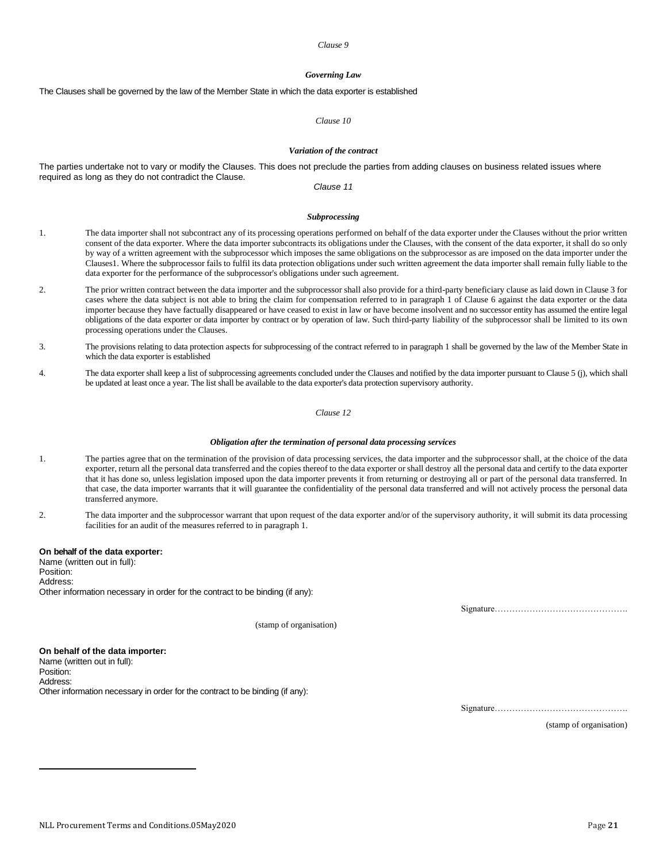#### *Clause 9*

### *Governing Law*

The Clauses shall be governed by the law of the Member State in which the data exporter is established

# *Clause 10*

### *Variation of the contract*

The parties undertake not to vary or modify the Clauses. This does not preclude the parties from adding clauses on business related issues where required as long as they do not contradict the Clause.

*Clause 11*

#### *Subprocessing*

- 1. The data importer shall not subcontract any of its processing operations performed on behalf of the data exporter under the Clauses without the prior written consent of the data exporter. Where the data importer subcontracts its obligations under the Clauses, with the consent of the data exporter, it shall do so only by way of a written agreement with the subprocessor which imposes the same obligations on the subprocessor as are imposed on the data importer under the Clauses1. Where the subprocessor fails to fulfil its data protection obligations under such written agreement the data importer shall remain fully liable to the data exporter for the performance of the subprocessor's obligations under such agreement.
- 2. The prior written contract between the data importer and the subprocessor shall also provide for a third-party beneficiary clause as laid down in Clause 3 for cases where the data subject is not able to bring the claim for compensation referred to in paragraph 1 of Clause 6 against the data exporter or the data importer because they have factually disappeared or have ceased to exist in law or have become insolvent and no successor entity has assumed the entire legal obligations of the data exporter or data importer by contract or by operation of law. Such third-party liability of the subprocessor shall be limited to its own processing operations under the Clauses.
- 3. The provisions relating to data protection aspects for subprocessing of the contract referred to in paragraph 1 shall be governed by the law of the Member State in which the data exporter is established
- 4. The data exporter shall keep a list of subprocessing agreements concluded under the Clauses and notified by the data importer pursuant to Clause 5 (j), which shall be updated at least once a year. The list shall be available to the data exporter's data protection supervisory authority.

#### *Clause 12*

## *Obligation after the termination of personal data processing services*

- 1. The parties agree that on the termination of the provision of data processing services, the data importer and the subprocessor shall, at the choice of the data exporter, return all the personal data transferred and the copies thereof to the data exporter or shall destroy all the personal data and certify to the data exporter that it has done so, unless legislation imposed upon the data importer prevents it from returning or destroying all or part of the personal data transferred. In that case, the data importer warrants that it will guarantee the confidentiality of the personal data transferred and will not actively process the personal data transferred anymore.
- 2. The data importer and the subprocessor warrant that upon request of the data exporter and/or of the supervisory authority, it will submit its data processing facilities for an audit of the measures referred to in paragraph 1.

## **On behalf of the data exporter:**

Name (written out in full): Position: Address: Other information necessary in order for the contract to be binding (if any):

Signature……………………………………….

(stamp of organisation)

### **On behalf of the data importer:**

Name (written out in full): Position: Address: Other information necessary in order for the contract to be binding (if any):

Signature……………………………………….

(stamp of organisation)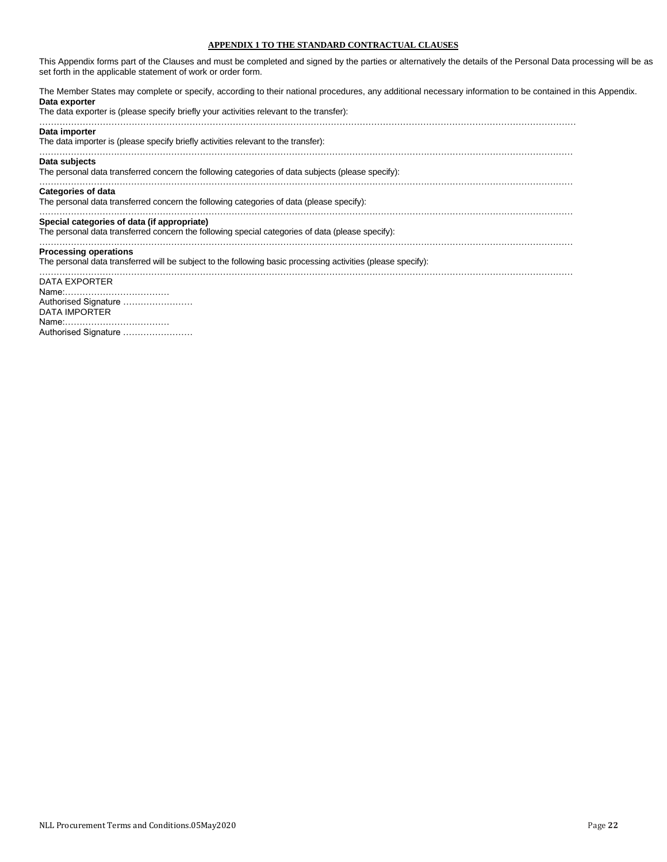# **APPENDIX 1 TO THE STANDARD CONTRACTUAL CLAUSES**

This Appendix forms part of the Clauses and must be completed and signed by the parties or alternatively the details of the Personal Data processing will be as set forth in the applicable statement of work or order form.

| The Member States may complete or specify, according to their national procedures, any additional necessary information to be contained in this Appendix.<br>Data exporter |
|----------------------------------------------------------------------------------------------------------------------------------------------------------------------------|
| The data exporter is (please specify briefly your activities relevant to the transfer):                                                                                    |
| Data importer                                                                                                                                                              |
| The data importer is (please specify briefly activities relevant to the transfer):                                                                                         |
| Data subjects                                                                                                                                                              |
| The personal data transferred concern the following categories of data subjects (please specify):                                                                          |
| Categories of data                                                                                                                                                         |
| The personal data transferred concern the following categories of data (please specify):                                                                                   |
| Special categories of data (if appropriate)                                                                                                                                |
| The personal data transferred concern the following special categories of data (please specify):                                                                           |
| <b>Processing operations</b>                                                                                                                                               |
| The personal data transferred will be subject to the following basic processing activities (please specify):                                                               |
| DATA EXPORTER                                                                                                                                                              |
|                                                                                                                                                                            |
| Authorised Signature                                                                                                                                                       |
| <b>DATA IMPORTER</b>                                                                                                                                                       |

# Name:………………………………

Authorised Signature ……………………